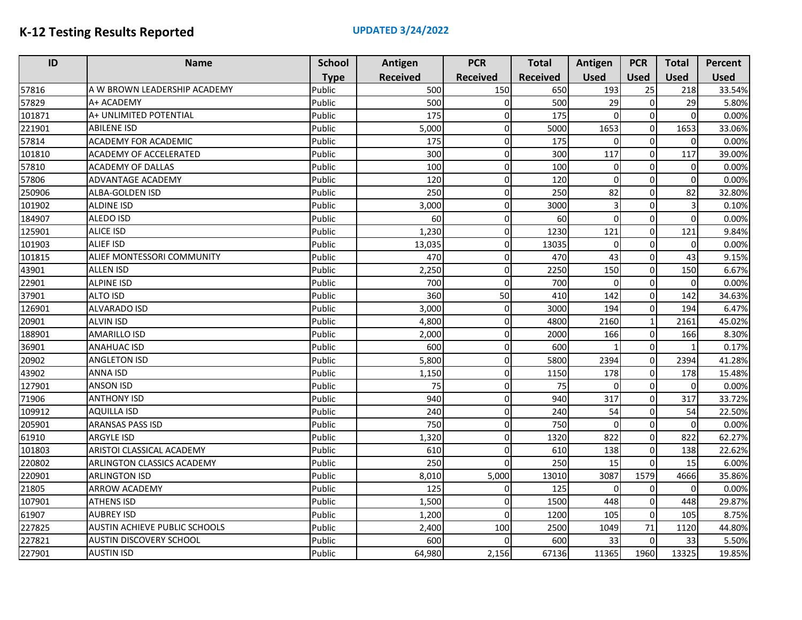| ID     | <b>Name</b>                    | <b>School</b> | Antigen         | <b>PCR</b>      | <b>Total</b>    | Antigen     | <b>PCR</b>   | <b>Total</b> | Percent     |
|--------|--------------------------------|---------------|-----------------|-----------------|-----------------|-------------|--------------|--------------|-------------|
|        |                                | <b>Type</b>   | <b>Received</b> | <b>Received</b> | <b>Received</b> | <b>Used</b> | <b>Used</b>  | <b>Used</b>  | <b>Used</b> |
| 57816  | A W BROWN LEADERSHIP ACADEMY   | Public        | 500             | 150             | 650             | 193         | 25           | 218          | 33.54%      |
| 57829  | A+ ACADEMY                     | Public        | 500             | 0               | 500             | 29          | $\mathbf 0$  | 29           | 5.80%       |
| 101871 | A+ UNLIMITED POTENTIAL         | Public        | 175             | $\Omega$        | 175             | $\Omega$    | $\Omega$     | $\Omega$     | 0.00%       |
| 221901 | <b>ABILENE ISD</b>             | Public        | 5,000           | 0               | 5000            | 1653        | $\mathbf{O}$ | 1653         | 33.06%      |
| 57814  | <b>ACADEMY FOR ACADEMIC</b>    | Public        | 175             | 0               | 175             | U           | $\mathbf 0$  | $\Omega$     | 0.00%       |
| 101810 | <b>ACADEMY OF ACCELERATED</b>  | Public        | 300             | $\Omega$        | 300             | 117         | $\mathbf 0$  | 117          | 39.00%      |
| 57810  | <b>ACADEMY OF DALLAS</b>       | Public        | 100             | 0               | 100             | $\Omega$    | $\mathbf 0$  | $\Omega$     | 0.00%       |
| 57806  | <b>ADVANTAGE ACADEMY</b>       | Public        | 120             | $\Omega$        | 120             | $\Omega$    | $\mathbf 0$  | $\Omega$     | 0.00%       |
| 250906 | ALBA-GOLDEN ISD                | Public        | 250             | $\Omega$        | 250             | 82          | $\mathbf 0$  | 82           | 32.80%      |
| 101902 | <b>ALDINE ISD</b>              | Public        | 3,000           | 0               | 3000            | 3           | $\Omega$     | 3            | 0.10%       |
| 184907 | ALEDO ISD                      | Public        | 60              | $\Omega$        | 60              | $\Omega$    | $\mathbf 0$  | $\Omega$     | 0.00%       |
| 125901 | <b>ALICE ISD</b>               | Public        | 1,230           | 0               | 1230            | 121         | $\mathbf{O}$ | 121          | 9.84%       |
| 101903 | <b>ALIEF ISD</b>               | Public        | 13,035          | 0               | 13035           | $\Omega$    | $\Omega$     | $\Omega$     | 0.00%       |
| 101815 | ALIEF MONTESSORI COMMUNITY     | Public        | 470             | 0               | 470             | 43          | $\mathbf 0$  | 43           | 9.15%       |
| 43901  | <b>ALLEN ISD</b>               | Public        | 2,250           | $\Omega$        | 2250            | 150         | $\mathbf 0$  | 150          | 6.67%       |
| 22901  | <b>ALPINE ISD</b>              | Public        | 700             | $\Omega$        | 700             | $\Omega$    | $\mathbf 0$  | $\Omega$     | 0.00%       |
| 37901  | <b>ALTO ISD</b>                | Public        | 360             | 50              | 410             | 142         | $\mathbf 0$  | 142          | 34.63%      |
| 126901 | <b>ALVARADO ISD</b>            | Public        | 3,000           | 0               | 3000            | 194         | $\mathbf 0$  | 194          | 6.47%       |
| 20901  | <b>ALVIN ISD</b>               | Public        | 4,800           | $\Omega$        | 4800            | 2160        | $\mathbf{1}$ | 2161         | 45.02%      |
| 188901 | <b>AMARILLO ISD</b>            | Public        | 2,000           | $\Omega$        | 2000            | 166         | $\mathbf{O}$ | 166          | 8.30%       |
| 36901  | ANAHUAC ISD                    | Public        | 600             | 0               | 600             |             | $\mathbf 0$  |              | 0.17%       |
| 20902  | <b>ANGLETON ISD</b>            | Public        | 5,800           | $\Omega$        | 5800            | 2394        | $\mathbf 0$  | 2394         | 41.28%      |
| 43902  | <b>ANNA ISD</b>                | Public        | 1,150           | 0               | 1150            | 178         | 0            | 178          | 15.48%      |
| 127901 | <b>ANSON ISD</b>               | Public        | 75              | $\Omega$        | 75              | $\Omega$    | $\Omega$     | ΩI           | 0.00%       |
| 71906  | <b>ANTHONY ISD</b>             | Public        | 940             | $\Omega$        | 940             | 317         | $\mathbf 0$  | 317          | 33.72%      |
| 109912 | <b>AQUILLA ISD</b>             | Public        | 240             | $\Omega$        | 240             | 54          | $\mathbf 0$  | 54           | 22.50%      |
| 205901 | <b>ARANSAS PASS ISD</b>        | Public        | 750             | $\Omega$        | 750             | $\Omega$    | $\Omega$     | $\Omega$     | 0.00%       |
| 61910  | <b>ARGYLE ISD</b>              | Public        | 1,320           | $\Omega$        | 1320            | 822         | $\mathbf 0$  | 822          | 62.27%      |
| 101803 | ARISTOI CLASSICAL ACADEMY      | Public        | 610             | $\Omega$        | 610             | 138         | $\mathbf 0$  | 138          | 22.62%      |
| 220802 | ARLINGTON CLASSICS ACADEMY     | Public        | 250             | $\Omega$        | 250             | 15          | $\mathbf 0$  | 15           | 6.00%       |
| 220901 | <b>ARLINGTON ISD</b>           | Public        | 8,010           | 5,000           | 13010           | 3087        | 1579         | 4666         | 35.86%      |
| 21805  | <b>ARROW ACADEMY</b>           | Public        | 125             | 0               | 125             | $\Omega$    | $\Omega$     | $\Omega$     | 0.00%       |
| 107901 | <b>ATHENS ISD</b>              | Public        | 1,500           | $\Omega$        | 1500            | 448         | $\mathbf 0$  | 448          | 29.87%      |
| 61907  | <b>AUBREY ISD</b>              | Public        | 1,200           | $\Omega$        | 1200            | 105         | $\mathbf 0$  | 105          | 8.75%       |
| 227825 | AUSTIN ACHIEVE PUBLIC SCHOOLS  | Public        | 2,400           | 100             | 2500            | 1049        | 71           | 1120         | 44.80%      |
| 227821 | <b>AUSTIN DISCOVERY SCHOOL</b> | Public        | 600             | $\Omega$        | 600             | 33          | $\mathbf 0$  | 33           | 5.50%       |
| 227901 | <b>AUSTIN ISD</b>              | Public        | 64,980          | 2,156           | 67136           | 11365       | 1960         | 13325        | 19.85%      |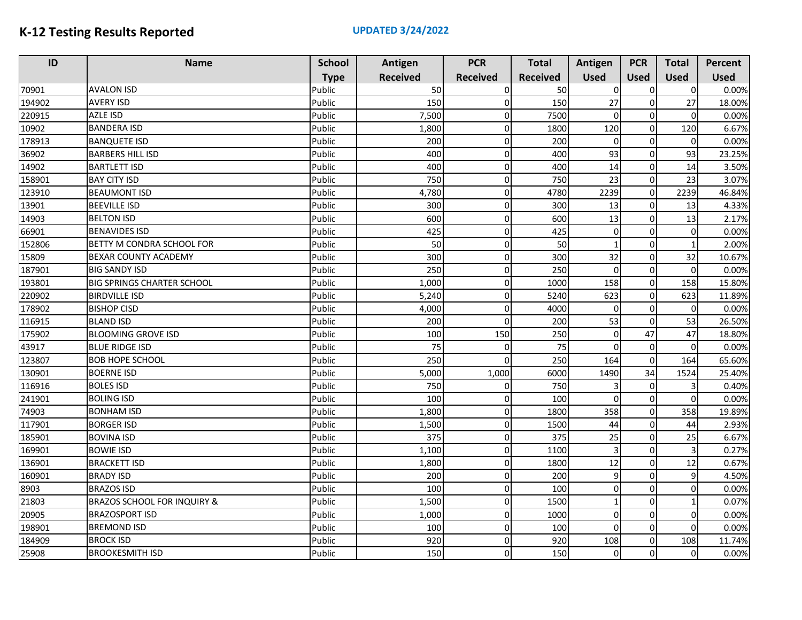| ID     | <b>Name</b>                            | <b>School</b> | Antigen         | <b>PCR</b>      | <b>Total</b>    | Antigen      | <b>PCR</b>  | <b>Total</b> | Percent     |
|--------|----------------------------------------|---------------|-----------------|-----------------|-----------------|--------------|-------------|--------------|-------------|
|        |                                        | <b>Type</b>   | <b>Received</b> | <b>Received</b> | <b>Received</b> | <b>Used</b>  | <b>Used</b> | <b>Used</b>  | <b>Used</b> |
| 70901  | <b>AVALON ISD</b>                      | Public        | 50              | $\Omega$        | 50              | ŋ            | $\Omega$    | $\Omega$     | 0.00%       |
| 194902 | <b>AVERY ISD</b>                       | Public        | 150             | $\Omega$        | 150             | 27           | 0           | 27           | 18.00%      |
| 220915 | <b>AZLE ISD</b>                        | Public        | 7,500           | $\Omega$        | 7500            | 0            | $\sqrt{ }$  | $\Omega$     | 0.00%       |
| 10902  | <b>BANDERA ISD</b>                     | Public        | 1,800           | $\Omega$        | 1800            | 120          | 0           | 120          | 6.67%       |
| 178913 | <b>BANQUETE ISD</b>                    | Public        | 200             | $\Omega$        | 200             | $\mathbf 0$  | $\Omega$    | $\Omega$     | 0.00%       |
| 36902  | <b>BARBERS HILL ISD</b>                | Public        | 400             | $\Omega$        | 400             | 93           | $\Omega$    | 93           | 23.25%      |
| 14902  | <b>BARTLETT ISD</b>                    | Public        | 400             | $\Omega$        | 400             | 14           | $\Omega$    | 14           | 3.50%       |
| 158901 | <b>BAY CITY ISD</b>                    | Public        | 750             | $\Omega$        | 750             | 23           | $\Omega$    | 23           | 3.07%       |
| 123910 | <b>BEAUMONT ISD</b>                    | Public        | 4,780           | $\Omega$        | 4780            | 2239         | $\Omega$    | 2239         | 46.84%      |
| 13901  | <b>BEEVILLE ISD</b>                    | Public        | 300             | $\Omega$        | 300             | 13           | $\Omega$    | 13           | 4.33%       |
| 14903  | <b>BELTON ISD</b>                      | Public        | 600             | $\overline{0}$  | 600             | 13           | $\mathbf 0$ | 13           | 2.17%       |
| 66901  | <b>BENAVIDES ISD</b>                   | Public        | 425             | $\Omega$        | 425             | 0            | $\mathbf 0$ | $\Omega$     | 0.00%       |
| 152806 | BETTY M CONDRA SCHOOL FOR              | Public        | 50              | $\Omega$        | 50              |              | $\mathbf 0$ |              | 2.00%       |
| 15809  | BEXAR COUNTY ACADEMY                   | Public        | 300             | $\Omega$        | 300             | 32           | $\Omega$    | 32           | 10.67%      |
| 187901 | <b>BIG SANDY ISD</b>                   | Public        | 250             | $\Omega$        | 250             | 0            | $\mathbf 0$ | $\Omega$     | 0.00%       |
| 193801 | <b>BIG SPRINGS CHARTER SCHOOL</b>      | Public        | 1,000           | $\Omega$        | 1000            | 158          | $\Omega$    | 158          | 15.80%      |
| 220902 | <b>BIRDVILLE ISD</b>                   | Public        | 5,240           | $\Omega$        | 5240            | 623          | $\Omega$    | 623          | 11.89%      |
| 178902 | <b>BISHOP CISD</b>                     | Public        | 4,000           | $\Omega$        | 4000            | $\Omega$     | $\Omega$    | $\Omega$     | 0.00%       |
| 116915 | <b>BLAND ISD</b>                       | Public        | 200             | $\Omega$        | 200             | 53           | $\Omega$    | 53           | 26.50%      |
| 175902 | <b>BLOOMING GROVE ISD</b>              | Public        | 100             | 150             | 250             | 0            | 47          | 47           | 18.80%      |
| 43917  | <b>BLUE RIDGE ISD</b>                  | Public        | 75              | $\Omega$        | 75              | $\mathbf 0$  | $\Omega$    | $\Omega$     | 0.00%       |
| 123807 | <b>BOB HOPE SCHOOL</b>                 | Public        | 250             | $\Omega$        | 250             | 164          | $\mathbf 0$ | 164          | 65.60%      |
| 130901 | <b>BOERNE ISD</b>                      | Public        | 5,000           | 1,000           | 6000            | 1490         | 34          | 1524         | 25.40%      |
| 116916 | <b>BOLES ISD</b>                       | Public        | 750             | $\Omega$        | 750             | 3            | $\Omega$    |              | 0.40%       |
| 241901 | <b>BOLING ISD</b>                      | Public        | 100             | $\Omega$        | 100             | 0            | $\Omega$    | $\Omega$     | 0.00%       |
| 74903  | <b>BONHAM ISD</b>                      | Public        | 1,800           | $\Omega$        | 1800            | 358          | $\mathbf 0$ | 358          | 19.89%      |
| 117901 | <b>BORGER ISD</b>                      | Public        | 1,500           | $\Omega$        | 1500            | 44           | $\Omega$    | 44           | 2.93%       |
| 185901 | <b>BOVINA ISD</b>                      | Public        | 375             | $\Omega$        | 375             | 25           | $\mathbf 0$ | 25           | 6.67%       |
| 169901 | <b>BOWIE ISD</b>                       | Public        | 1,100           | $\Omega$        | 1100            | 3            | $\Omega$    |              | 0.27%       |
| 136901 | <b>BRACKETT ISD</b>                    | Public        | 1,800           | $\Omega$        | 1800            | 12           | $\mathbf 0$ | 12           | 0.67%       |
| 160901 | <b>BRADY ISD</b>                       | Public        | 200             | $\Omega$        | 200             | 9            | $\mathbf 0$ | 9            | 4.50%       |
| 8903   | <b>BRAZOS ISD</b>                      | Public        | 100             | $\Omega$        | 100             | 0            | $\mathbf 0$ | $\Omega$     | 0.00%       |
| 21803  | <b>BRAZOS SCHOOL FOR INQUIRY &amp;</b> | Public        | 1,500           | $\overline{0}$  | 1500            | $\mathbf{1}$ | $\mathbf 0$ |              | 0.07%       |
| 20905  | <b>BRAZOSPORT ISD</b>                  | Public        | 1,000           | $\Omega$        | 1000            | 0            | $\Omega$    | $\Omega$     | 0.00%       |
| 198901 | <b>BREMOND ISD</b>                     | Public        | 100             | $\overline{0}$  | 100             | 0            | $\Omega$    | $\Omega$     | 0.00%       |
| 184909 | <b>BROCK ISD</b>                       | Public        | 920             | $\Omega$        | 920             | 108          | $\Omega$    | 108          | 11.74%      |
| 25908  | <b>BROOKESMITH ISD</b>                 | Public        | 150             | $\Omega$        | 150             | 0            | $\mathbf 0$ | $\Omega$     | 0.00%       |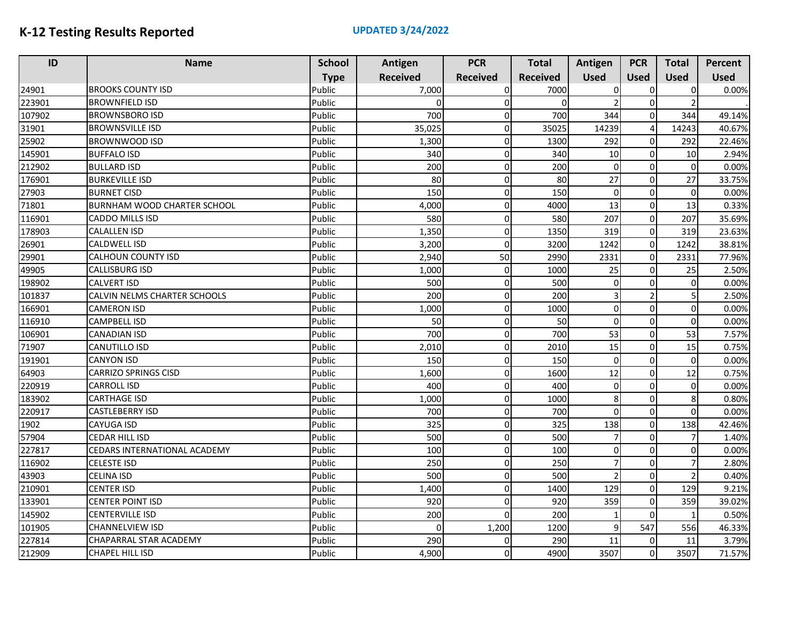| ID     | <b>Name</b>                  | <b>School</b> | Antigen         | <b>PCR</b>      | <b>Total</b>    | Antigen        | <b>PCR</b>     | <b>Total</b> | Percent     |
|--------|------------------------------|---------------|-----------------|-----------------|-----------------|----------------|----------------|--------------|-------------|
|        |                              | <b>Type</b>   | <b>Received</b> | <b>Received</b> | <b>Received</b> | <b>Used</b>    | <b>Used</b>    | <b>Used</b>  | <b>Used</b> |
| 24901  | <b>BROOKS COUNTY ISD</b>     | Public        | 7,000           | $\Omega$        | 7000            | 0              | $\Omega$       | 0            | 0.00%       |
| 223901 | <b>BROWNFIELD ISD</b>        | Public        | $\Omega$        | 0               | $\Omega$        |                | $\mathbf 0$    |              |             |
| 107902 | <b>BROWNSBORO ISD</b>        | Public        | 700             |                 | 700             | 344            | $\Omega$       | 344          | 49.14%      |
| 31901  | <b>BROWNSVILLE ISD</b>       | Public        | 35,025          | n               | 35025           | 14239          | $\overline{4}$ | 14243        | 40.67%      |
| 25902  | BROWNWOOD ISD                | Public        | 1,300           | n               | 1300            | 292            | $\mathbf 0$    | 292          | 22.46%      |
| 145901 | <b>BUFFALO ISD</b>           | Public        | 340             | $\Omega$        | 340             | 10             | $\Omega$       | 10           | 2.94%       |
| 212902 | <b>BULLARD ISD</b>           | Public        | 200             | $\Omega$        | 200             | 0              | $\Omega$       | $\Omega$     | 0.00%       |
| 176901 | <b>BURKEVILLE ISD</b>        | Public        | 80              | O               | 80              | 27             | $\Omega$       | 27           | 33.75%      |
| 27903  | <b>BURNET CISD</b>           | Public        | 150             | 0               | 150             | 0              | $\overline{0}$ | 0            | 0.00%       |
| 71801  | BURNHAM WOOD CHARTER SCHOOL  | Public        | 4,000           | 0               | 4000            | 13             | $\Omega$       | 13           | 0.33%       |
| 116901 | CADDO MILLS ISD              | Public        | 580             | $\Omega$        | 580             | 207            | $\mathbf 0$    | 207          | 35.69%      |
| 178903 | <b>CALALLEN ISD</b>          | Public        | 1,350           | 0               | 1350            | 319            | $\Omega$       | 319          | 23.63%      |
| 26901  | CALDWELL ISD                 | Public        | 3,200           | $\Omega$        | 3200            | 1242           | $\mathbf 0$    | 1242         | 38.81%      |
| 29901  | <b>CALHOUN COUNTY ISD</b>    | Public        | 2,940           | 50              | 2990            | 2331           | $\Omega$       | 2331         | 77.96%      |
| 49905  | <b>CALLISBURG ISD</b>        | Public        | 1,000           | $\Omega$        | 1000            | 25             | $\Omega$       | 25           | 2.50%       |
| 198902 | <b>CALVERT ISD</b>           | Public        | 500             | $\Omega$        | 500             | 0              | $\Omega$       | $\Omega$     | 0.00%       |
| 101837 | CALVIN NELMS CHARTER SCHOOLS | Public        | 200             | 0               | 200             | 3              |                | 5            | 2.50%       |
| 166901 | <b>CAMERON ISD</b>           | Public        | 1,000           | $\Omega$        | 1000            | 0              | $\Omega$       | 0            | 0.00%       |
| 116910 | CAMPBELL ISD                 | Public        | 50              | $\Omega$        | 50              | $\overline{0}$ | $\Omega$       | $\Omega$     | 0.00%       |
| 106901 | CANADIAN ISD                 | Public        | 700             | 0               | 700             | 53             | $\mathbf 0$    | 53           | 7.57%       |
| 71907  | CANUTILLO ISD                | Public        | 2,010           | $\Omega$        | 2010            | 15             | $\mathbf 0$    | 15           | 0.75%       |
| 191901 | <b>CANYON ISD</b>            | Public        | 150             | $\Omega$        | 150             | $\Omega$       | $\Omega$       | $\Omega$     | 0.00%       |
| 64903  | <b>CARRIZO SPRINGS CISD</b>  | Public        | 1,600           | $\Omega$        | 1600            | 12             | $\mathbf 0$    | 12           | 0.75%       |
| 220919 | <b>CARROLL ISD</b>           | Public        | 400             | $\Omega$        | 400             | 0              | $\Omega$       | $\Omega$     | 0.00%       |
| 183902 | <b>CARTHAGE ISD</b>          | Public        | 1,000           | 0               | 1000            | 8              | $\Omega$       | 8            | 0.80%       |
| 220917 | <b>CASTLEBERRY ISD</b>       | Public        | 700             | $\Omega$        | 700             | $\Omega$       | $\Omega$       | $\Omega$     | 0.00%       |
| 1902   | <b>CAYUGA ISD</b>            | Public        | 325             | $\Omega$        | 325             | 138            | $\Omega$       | 138          | 42.46%      |
| 57904  | <b>CEDAR HILL ISD</b>        | Public        | 500             | $\Omega$        | 500             | 7              | $\mathbf 0$    |              | 1.40%       |
| 227817 | CEDARS INTERNATIONAL ACADEMY | Public        | 100             | $\Omega$        | 100             | 0              | $\Omega$       | 0            | 0.00%       |
| 116902 | CELESTE ISD                  | Public        | 250             | 0               | 250             | 7              | $\Omega$       |              | 2.80%       |
| 43903  | CELINA ISD                   | Public        | 500             | $\Omega$        | 500             | $\mathfrak{p}$ | $\Omega$       |              | 0.40%       |
| 210901 | CENTER ISD                   | Public        | 1,400           | 0               | 1400            | 129            | $\Omega$       | 129          | 9.21%       |
| 133901 | <b>CENTER POINT ISD</b>      | Public        | 920             | n               | 920             | 359            | 0              | 359          | 39.02%      |
| 145902 | <b>CENTERVILLE ISD</b>       | Public        | 200             |                 | 200             | 1              | $\Omega$       |              | 0.50%       |
| 101905 | <b>CHANNELVIEW ISD</b>       | Public        | $\Omega$        | 1,200           | 1200            | $\overline{9}$ | 547            | 556          | 46.33%      |
| 227814 | CHAPARRAL STAR ACADEMY       | Public        | 290             | $\Omega$        | 290             | 11             | $\Omega$       | 11           | 3.79%       |
| 212909 | CHAPEL HILL ISD              | Public        | 4,900           | $\Omega$        | 4900            | 3507           | $\Omega$       | 3507         | 71.57%      |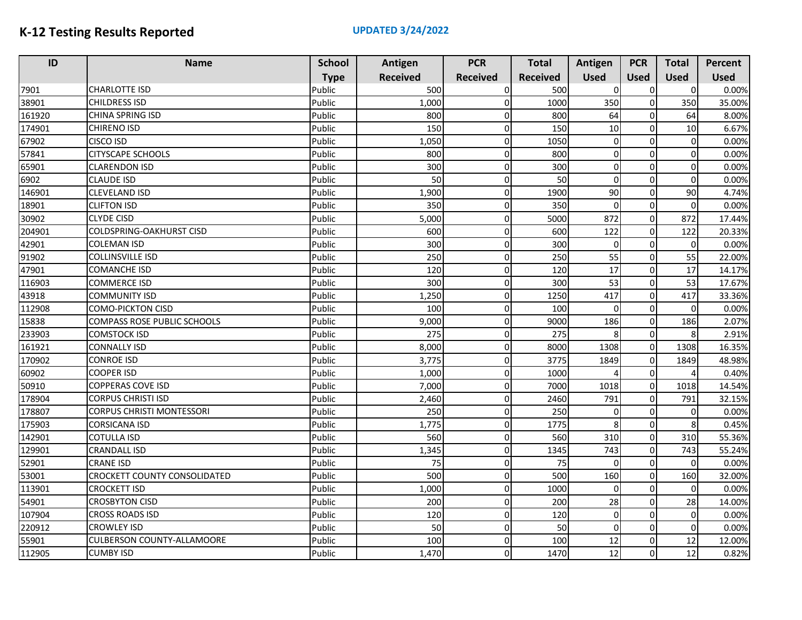| ID     | <b>Name</b>                        | <b>School</b> | Antigen         | <b>PCR</b>      | <b>Total</b>    | Antigen     | <b>PCR</b>  | <b>Total</b> | Percent     |
|--------|------------------------------------|---------------|-----------------|-----------------|-----------------|-------------|-------------|--------------|-------------|
|        |                                    | <b>Type</b>   | <b>Received</b> | <b>Received</b> | <b>Received</b> | <b>Used</b> | <b>Used</b> | <b>Used</b>  | <b>Used</b> |
| 7901   | <b>CHARLOTTE ISD</b>               | Public        | 500             | $\Omega$        | 500             | O           | $\sqrt{ }$  | $\Omega$     | 0.00%       |
| 38901  | <b>CHILDRESS ISD</b>               | Public        | 1,000           | $\Omega$        | 1000            | 350         | $\mathbf 0$ | 350          | 35.00%      |
| 161920 | CHINA SPRING ISD                   | Public        | 800             | $\Omega$        | 800             | 64          | $\sqrt{ }$  | 64           | 8.00%       |
| 174901 | <b>CHIRENO ISD</b>                 | Public        | 150             | $\Omega$        | 150             | 10          | $\mathbf 0$ | 10           | 6.67%       |
| 67902  | <b>CISCO ISD</b>                   | Public        | 1,050           | $\Omega$        | 1050            | $\mathbf 0$ | $\Omega$    | $\Omega$     | 0.00%       |
| 57841  | <b>CITYSCAPE SCHOOLS</b>           | Public        | 800             | $\Omega$        | 800             | $\mathbf 0$ | $\Omega$    | $\Omega$     | 0.00%       |
| 65901  | <b>CLARENDON ISD</b>               | Public        | 300             | $\Omega$        | 300             | $\mathbf 0$ | $\Omega$    | $\Omega$     | 0.00%       |
| 6902   | <b>CLAUDE ISD</b>                  | Public        | 50              | $\Omega$        | 50              | $\mathbf 0$ | $\Omega$    | $\Omega$     | 0.00%       |
| 146901 | <b>CLEVELAND ISD</b>               | Public        | 1,900           | $\Omega$        | 1900            | 90          | $\Omega$    | 90           | 4.74%       |
| 18901  | <b>CLIFTON ISD</b>                 | Public        | 350             | $\Omega$        | 350             | $\mathbf 0$ | $\Omega$    | $\Omega$     | 0.00%       |
| 30902  | <b>CLYDE CISD</b>                  | Public        | 5,000           | $\Omega$        | 5000            | 872         | $\mathbf 0$ | 872          | 17.44%      |
| 204901 | <b>COLDSPRING-OAKHURST CISD</b>    | Public        | 600             | $\Omega$        | 600             | 122         | $\mathbf 0$ | 122          | 20.33%      |
| 42901  | <b>COLEMAN ISD</b>                 | Public        | 300             | $\Omega$        | 300             | $\Omega$    | $\Omega$    | $\Omega$     | 0.00%       |
| 91902  | <b>COLLINSVILLE ISD</b>            | Public        | 250             | $\Omega$        | 250             | 55          | $\mathbf 0$ | 55           | 22.00%      |
| 47901  | <b>COMANCHE ISD</b>                | Public        | 120             | $\Omega$        | 120             | 17          | $\Omega$    | 17           | 14.17%      |
| 116903 | <b>COMMERCE ISD</b>                | Public        | 300             | $\Omega$        | 300             | 53          | $\Omega$    | 53           | 17.67%      |
| 43918  | <b>COMMUNITY ISD</b>               | Public        | 1,250           | $\Omega$        | 1250            | 417         | $\Omega$    | 417          | 33.36%      |
| 112908 | <b>COMO-PICKTON CISD</b>           | Public        | 100             | $\Omega$        | 100             | $\Omega$    | $\Omega$    | $\Omega$     | 0.00%       |
| 15838  | <b>COMPASS ROSE PUBLIC SCHOOLS</b> | Public        | 9,000           | $\Omega$        | 9000            | 186         | $\Omega$    | 186          | 2.07%       |
| 233903 | <b>COMSTOCK ISD</b>                | Public        | 275             | $\Omega$        | 275             | 8           | $\Omega$    | 8            | 2.91%       |
| 161921 | <b>CONNALLY ISD</b>                | Public        | 8,000           | $\overline{0}$  | 8000            | 1308        | $\mathbf 0$ | 1308         | 16.35%      |
| 170902 | Conroe ISD                         | Public        | 3,775           | $\Omega$        | 3775            | 1849        | $\mathbf 0$ | 1849         | 48.98%      |
| 60902  | <b>COOPER ISD</b>                  | Public        | 1,000           | $\Omega$        | 1000            |             | $\mathbf 0$ |              | 0.40%       |
| 50910  | <b>COPPERAS COVE ISD</b>           | Public        | 7,000           | $\Omega$        | 7000            | 1018        | $\Omega$    | 1018         | 14.54%      |
| 178904 | <b>CORPUS CHRISTI ISD</b>          | Public        | 2,460           | $\Omega$        | 2460            | 791         | $\mathbf 0$ | 791          | 32.15%      |
| 178807 | <b>CORPUS CHRISTI MONTESSORI</b>   | Public        | 250             | $\Omega$        | 250             | $\mathbf 0$ | $\Omega$    | $\Omega$     | 0.00%       |
| 175903 | <b>CORSICANA ISD</b>               | Public        | 1,775           | $\Omega$        | 1775            | 8           | $\Omega$    | 8            | 0.45%       |
| 142901 | <b>COTULLA ISD</b>                 | Public        | 560             | $\Omega$        | 560             | 310         | $\Omega$    | 310          | 55.36%      |
| 129901 | <b>CRANDALL ISD</b>                | Public        | 1,345           | $\Omega$        | 1345            | 743         | $\Omega$    | 743          | 55.24%      |
| 52901  | <b>CRANE ISD</b>                   | Public        | 75              | $\Omega$        | 75              | $\mathbf 0$ | $\Omega$    | $\Omega$     | 0.00%       |
| 53001  | CROCKETT COUNTY CONSOLIDATED       | Public        | 500             | $\overline{0}$  | 500             | 160         | $\Omega$    | 160          | 32.00%      |
| 113901 | <b>CROCKETT ISD</b>                | Public        | 1,000           | $\Omega$        | 1000            | $\Omega$    | $\Omega$    | $\Omega$     | 0.00%       |
| 54901  | <b>CROSBYTON CISD</b>              | Public        | 200             | $\Omega$        | 200             | 28          | $\Omega$    | 28           | 14.00%      |
| 107904 | <b>CROSS ROADS ISD</b>             | Public        | 120             | $\Omega$        | 120             | $\mathbf 0$ | $\mathbf 0$ | $\Omega$     | 0.00%       |
| 220912 | <b>CROWLEY ISD</b>                 | Public        | 50              | $\Omega$        | 50              | $\mathbf 0$ | $\Omega$    | $\Omega$     | 0.00%       |
| 55901  | <b>CULBERSON COUNTY-ALLAMOORE</b>  | Public        | 100             | $\Omega$        | 100             | 12          | $\Omega$    | 12           | 12.00%      |
| 112905 | <b>CUMBY ISD</b>                   | Public        | 1,470           | <sub>0</sub>    | 1470            | 12          | $\Omega$    | 12           | 0.82%       |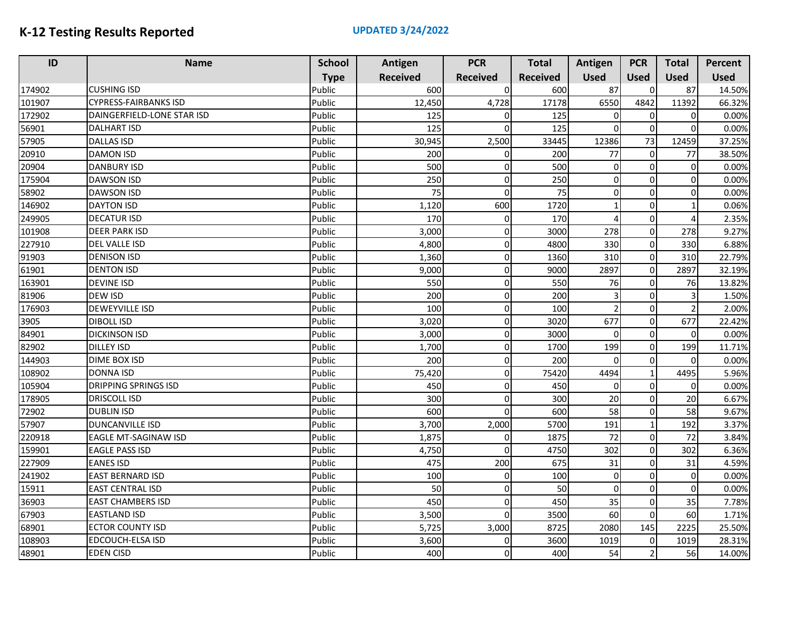| ID     | <b>Name</b>                  | <b>School</b> | Antigen         | <b>PCR</b>      | <b>Total</b>    | Antigen        | <b>PCR</b>    | <b>Total</b> | Percent     |
|--------|------------------------------|---------------|-----------------|-----------------|-----------------|----------------|---------------|--------------|-------------|
|        |                              | <b>Type</b>   | <b>Received</b> | <b>Received</b> | <b>Received</b> | <b>Used</b>    | <b>Used</b>   | <b>Used</b>  | <b>Used</b> |
| 174902 | <b>CUSHING ISD</b>           | Public        | 600             | $\Omega$        | 600             | 87             | $\Omega$      | 87           | 14.50%      |
| 101907 | <b>CYPRESS-FAIRBANKS ISD</b> | Public        | 12,450          | 4,728           | 17178           | 6550           | 4842          | 11392        | 66.32%      |
| 172902 | DAINGERFIELD-LONE STAR ISD   | Public        | 125             |                 | 125             | 0              | $\mathbf 0$   | $\Omega$     | 0.00%       |
| 56901  | <b>DALHART ISD</b>           | Public        | 125             |                 | 125             | $\Omega$       | $\Omega$      | $\Omega$     | 0.00%       |
| 57905  | <b>DALLAS ISD</b>            | Public        | 30,945          | 2,500           | 33445           | 12386          | 73            | 12459        | 37.25%      |
| 20910  | <b>DAMON ISD</b>             | Public        | 200             | $\Omega$        | 200             | 77             | $\mathbf 0$   | 77           | 38.50%      |
| 20904  | <b>DANBURY ISD</b>           | Public        | 500             | $\Omega$        | 500             | $\overline{0}$ | $\Omega$      | $\Omega$     | 0.00%       |
| 175904 | <b>DAWSON ISD</b>            | Public        | 250             | $\Omega$        | 250             | $\mathbf 0$    | $\Omega$      | $\Omega$     | 0.00%       |
| 58902  | <b>DAWSON ISD</b>            | Public        | 75              | $\Omega$        | 75              | $\mathbf 0$    | $\Omega$      | $\Omega$     | 0.00%       |
| 146902 | <b>DAYTON ISD</b>            | Public        | 1,120           | 600             | 1720            | 1              | $\Omega$      |              | 0.06%       |
| 249905 | <b>DECATUR ISD</b>           | Public        | 170             | $\Omega$        | 170             | 4              | $\Omega$      | 4            | 2.35%       |
| 101908 | <b>DEER PARK ISD</b>         | Public        | 3,000           | $\Omega$        | 3000            | 278            | $\mathbf 0$   | 278          | 9.27%       |
| 227910 | DEL VALLE ISD                | Public        | 4,800           | $\Omega$        | 4800            | 330            | $\mathbf 0$   | 330          | 6.88%       |
| 91903  | <b>DENISON ISD</b>           | Public        | 1,360           | $\Omega$        | 1360            | 310            | $\Omega$      | 310          | 22.79%      |
| 61901  | <b>DENTON ISD</b>            | Public        | 9,000           | $\Omega$        | 9000            | 2897           | $\Omega$      | 2897         | 32.19%      |
| 163901 | <b>DEVINE ISD</b>            | Public        | 550             | $\Omega$        | 550             | 76             | $\Omega$      | 76           | 13.82%      |
| 81906  | <b>DEW ISD</b>               | Public        | 200             | $\Omega$        | 200             | $\overline{3}$ | $\Omega$      | 3            | 1.50%       |
| 176903 | <b>DEWEYVILLE ISD</b>        | Public        | 100             | $\Omega$        | 100             | $\overline{2}$ | $\Omega$      |              | 2.00%       |
| 3905   | <b>DIBOLL ISD</b>            | Public        | 3,020           | $\Omega$        | 3020            | 677            | $\Omega$      | 677          | 22.42%      |
| 84901  | <b>DICKINSON ISD</b>         | Public        | 3,000           | $\Omega$        | 3000            | $\mathbf 0$    | $\Omega$      | $\Omega$     | 0.00%       |
| 82902  | <b>DILLEY ISD</b>            | Public        | 1,700           | $\Omega$        | 1700            | 199            | $\Omega$      | 199          | 11.71%      |
| 144903 | <b>DIME BOX ISD</b>          | Public        | 200             | $\Omega$        | 200             | $\Omega$       | $\mathbf 0$   | $\Omega$     | 0.00%       |
| 108902 | <b>DONNA ISD</b>             | Public        | 75,420          | $\Omega$        | 75420           | 4494           |               | 4495         | 5.96%       |
| 105904 | <b>DRIPPING SPRINGS ISD</b>  | Public        | 450             | $\Omega$        | 450             | $\mathbf 0$    | $\Omega$      | $\Omega$     | 0.00%       |
| 178905 | <b>DRISCOLL ISD</b>          | Public        | 300             | $\Omega$        | 300             | 20             | $\Omega$      | 20           | 6.67%       |
| 72902  | <b>DUBLIN ISD</b>            | Public        | 600             | $\Omega$        | 600             | 58             | $\Omega$      | 58           | 9.67%       |
| 57907  | <b>DUNCANVILLE ISD</b>       | Public        | 3,700           | 2,000           | 5700            | 191            |               | 192          | 3.37%       |
| 220918 | <b>EAGLE MT-SAGINAW ISD</b>  | Public        | 1,875           | $\Omega$        | 1875            | 72             | $\Omega$      | 72           | 3.84%       |
| 159901 | <b>EAGLE PASS ISD</b>        | Public        | 4,750           | 0               | 4750            | 302            | $\Omega$      | 302          | 6.36%       |
| 227909 | <b>EANES ISD</b>             | Public        | 475             | 200             | 675             | 31             | $\Omega$      | 31           | 4.59%       |
| 241902 | <b>EAST BERNARD ISD</b>      | Public        | 100             | $\Omega$        | 100             | $\mathbf 0$    | $\Omega$      | $\Omega$     | 0.00%       |
| 15911  | <b>EAST CENTRAL ISD</b>      | Public        | 50              | $\Omega$        | 50              | $\mathbf 0$    | $\mathbf 0$   | $\Omega$     | 0.00%       |
| 36903  | <b>EAST CHAMBERS ISD</b>     | Public        | 450             | $\Omega$        | 450             | 35             | $\Omega$      | 35           | 7.78%       |
| 67903  | <b>EASTLAND ISD</b>          | Public        | 3,500           | $\Omega$        | 3500            | 60             | $\Omega$      | 60           | 1.71%       |
| 68901  | <b>ECTOR COUNTY ISD</b>      | Public        | 5,725           | 3,000           | 8725            | 2080           | 145           | 2225         | 25.50%      |
| 108903 | EDCOUCH-ELSA ISD             | Public        | 3,600           | $\Omega$        | 3600            | 1019           | $\Omega$      | 1019         | 28.31%      |
| 48901  | <b>EDEN CISD</b>             | Public        | 400             | $\Omega$        | 400             | 54             | $\mathcal{P}$ | 56           | 14.00%      |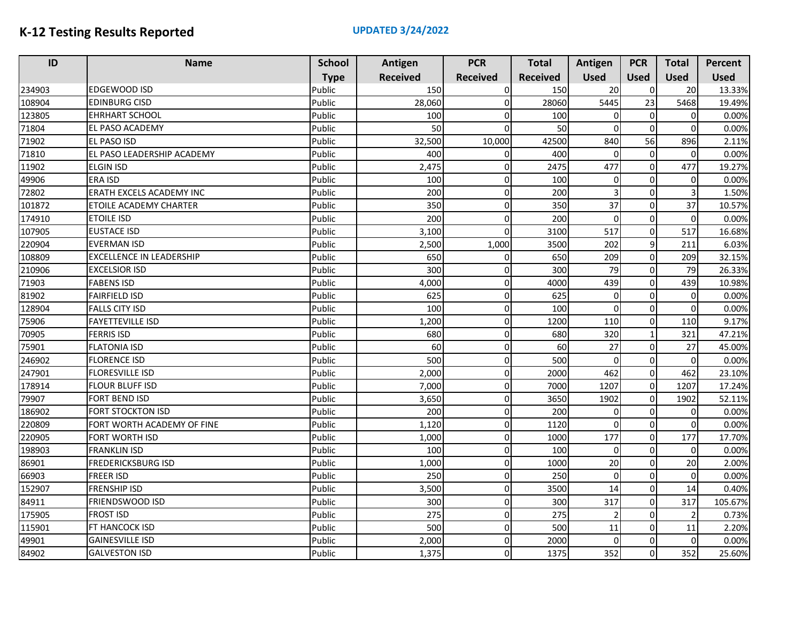| ID     | <b>Name</b>                     | <b>School</b> | Antigen         | <b>PCR</b>      | <b>Total</b>    | Antigen        | <b>PCR</b>  | <b>Total</b> | <b>Percent</b> |
|--------|---------------------------------|---------------|-----------------|-----------------|-----------------|----------------|-------------|--------------|----------------|
|        |                                 | <b>Type</b>   | <b>Received</b> | <b>Received</b> | <b>Received</b> | <b>Used</b>    | <b>Used</b> | <b>Used</b>  | <b>Used</b>    |
| 234903 | EDGEWOOD ISD                    | Public        | 150             | $\Omega$        | 150             | 20             | 0           | 20           | 13.33%         |
| 108904 | <b>EDINBURG CISD</b>            | Public        | 28,060          | $\Omega$        | 28060           | 5445           | 23          | 5468         | 19.49%         |
| 123805 | <b>EHRHART SCHOOL</b>           | Public        | 100             | n               | 100             | $\overline{0}$ | $\mathbf 0$ | $\Omega$     | 0.00%          |
| 71804  | EL PASO ACADEMY                 | Public        | 50              |                 | 50              | $\Omega$       | $\Omega$    | $\Omega$     | 0.00%          |
| 71902  | <b>EL PASO ISD</b>              | Public        | 32,500          | 10,000          | 42500           | 840            | 56          | 896          | 2.11%          |
| 71810  | EL PASO LEADERSHIP ACADEMY      | Public        | 400             |                 | 400             | 0              | $\mathbf 0$ | $\mathbf 0$  | 0.00%          |
| 11902  | <b>ELGIN ISD</b>                | Public        | 2,475           | <sup>0</sup>    | 2475            | 477            | $\Omega$    | 477          | 19.27%         |
| 49906  | ERA ISD                         | Public        | 100             | $\Omega$        | 100             | $\overline{0}$ | $\Omega$    | $\Omega$     | 0.00%          |
| 72802  | ERATH EXCELS ACADEMY INC        | Public        | 200             | $\Omega$        | 200             | 3              | $\Omega$    | 3            | 1.50%          |
| 101872 | ETOILE ACADEMY CHARTER          | Public        | 350             | $\Omega$        | 350             | 37             | $\Omega$    | 37           | 10.57%         |
| 174910 | <b>ETOILE ISD</b>               | Public        | 200             | 0               | 200             | $\mathbf 0$    | $\Omega$    | $\Omega$     | 0.00%          |
| 107905 | <b>EUSTACE ISD</b>              | Public        | 3,100           | $\Omega$        | 3100            | 517            | $\Omega$    | 517          | 16.68%         |
| 220904 | <b>EVERMAN ISD</b>              | Public        | 2,500           | 1,000           | 3500            | 202            | 9           | 211          | 6.03%          |
| 108809 | <b>EXCELLENCE IN LEADERSHIP</b> | Public        | 650             |                 | 650             | 209            | $\mathbf 0$ | 209          | 32.15%         |
| 210906 | <b>EXCELSIOR ISD</b>            | Public        | 300             |                 | 300             | 79             | $\Omega$    | 79           | 26.33%         |
| 71903  | <b>FABENS ISD</b>               | Public        | 4,000           | 0               | 4000            | 439            | $\Omega$    | 439          | 10.98%         |
| 81902  | <b>FAIRFIELD ISD</b>            | Public        | 625             | $\Omega$        | 625             | $\Omega$       | $\Omega$    | $\Omega$     | 0.00%          |
| 128904 | <b>FALLS CITY ISD</b>           | Public        | 100             | $\Omega$        | 100             | $\overline{0}$ | $\Omega$    | $\Omega$     | 0.00%          |
| 75906  | <b>FAYETTEVILLE ISD</b>         | Public        | 1,200           | $\Omega$        | 1200            | 110            | $\mathbf 0$ | 110          | 9.17%          |
| 70905  | FERRIS ISD                      | Public        | 680             | 0               | 680             | 320            |             | 321          | 47.21%         |
| 75901  | <b>FLATONIA ISD</b>             | Public        | 60              | $\Omega$        | 60              | 27             | $\mathbf 0$ | 27           | 45.00%         |
| 246902 | <b>FLORENCE ISD</b>             | Public        | 500             | $\Omega$        | 500             | $\Omega$       | $\Omega$    | $\Omega$     | 0.00%          |
| 247901 | <b>FLORESVILLE ISD</b>          | Public        | 2,000           | $\Omega$        | 2000            | 462            | $\mathbf 0$ | 462          | 23.10%         |
| 178914 | <b>FLOUR BLUFF ISD</b>          | Public        | 7,000           | $\Omega$        | 7000            | 1207           | $\mathbf 0$ | 1207         | 17.24%         |
| 79907  | <b>FORT BEND ISD</b>            | Public        | 3,650           | O               | 3650            | 1902           | $\Omega$    | 1902         | 52.11%         |
| 186902 | <b>FORT STOCKTON ISD</b>        | Public        | 200             | $\Omega$        | 200             | $\Omega$       | $\Omega$    | $\Omega$     | 0.00%          |
| 220809 | FORT WORTH ACADEMY OF FINE      | Public        | 1,120           | 0               | 1120            | $\Omega$       | $\Omega$    | $\Omega$     | 0.00%          |
| 220905 | <b>FORT WORTH ISD</b>           | Public        | 1,000           | $\Omega$        | 1000            | 177            | $\Omega$    | 177          | 17.70%         |
| 198903 | <b>FRANKLIN ISD</b>             | Public        | 100             | $\Omega$        | 100             | $\overline{0}$ | $\Omega$    | $\Omega$     | 0.00%          |
| 86901  | FREDERICKSBURG ISD              | Public        | 1,000           | 0               | 1000            | 20             | $\Omega$    | 20           | 2.00%          |
| 66903  | <b>FREER ISD</b>                | Public        | 250             | $\Omega$        | 250             | 0              | $\Omega$    | $\Omega$     | 0.00%          |
| 152907 | FRENSHIP ISD                    | Public        | 3,500           | $\Omega$        | 3500            | 14             | $\Omega$    | 14           | 0.40%          |
| 84911  | FRIENDSWOOD ISD                 | Public        | 300             | 0               | 300             | 317            | $\mathbf 0$ | 317          | 105.67%        |
| 175905 | <b>FROST ISD</b>                | Public        | 275             | $\Omega$        | 275             | $\overline{2}$ | $\Omega$    |              | 0.73%          |
| 115901 | FT HANCOCK ISD                  | Public        | 500             | $\Omega$        | 500             | 11             | $\Omega$    | 11           | 2.20%          |
| 49901  | <b>GAINESVILLE ISD</b>          | Public        | 2,000           | $\Omega$        | 2000            | $\Omega$       | $\Omega$    | $\Omega$     | 0.00%          |
| 84902  | <b>GALVESTON ISD</b>            | Public        | 1,375           | $\Omega$        | 1375            | 352            | $\Omega$    | 352          | 25.60%         |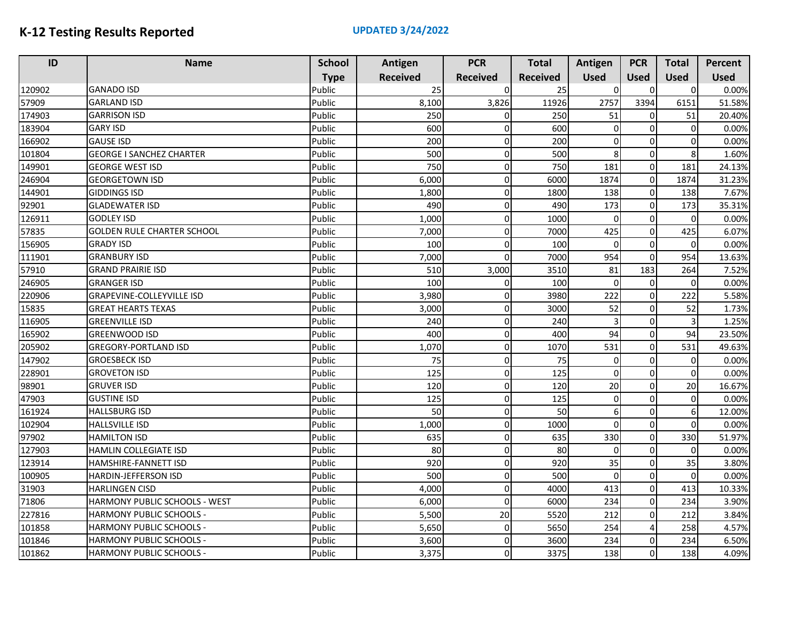| ID     | <b>Name</b>                          | <b>School</b> | Antigen         | <b>PCR</b>      | <b>Total</b>    | Antigen        | <b>PCR</b>   | <b>Total</b>     | <b>Percent</b> |
|--------|--------------------------------------|---------------|-----------------|-----------------|-----------------|----------------|--------------|------------------|----------------|
|        |                                      | <b>Type</b>   | <b>Received</b> | <b>Received</b> | <b>Received</b> | <b>Used</b>    | <b>Used</b>  | <b>Used</b>      | <b>Used</b>    |
| 120902 | <b>GANADO ISD</b>                    | Public        | 25              | $\Omega$        | 25              | $\Omega$       | $\Omega$     | $\Omega$         | 0.00%          |
| 57909  | <b>GARLAND ISD</b>                   | Public        | 8,100           | 3,826           | 11926           | 2757           | 3394         | 6151             | 51.58%         |
| 174903 | <b>GARRISON ISD</b>                  | Public        | 250             |                 | 250             | 51             | $\sqrt{ }$   | 51               | 20.40%         |
| 183904 | <b>GARY ISD</b>                      | Public        | 600             | $\Omega$        | 600             | $\mathbf 0$    | $\mathsf{C}$ | $\Omega$         | 0.00%          |
| 166902 | <b>GAUSE ISD</b>                     | Public        | 200             | $\Omega$        | 200             | $\mathbf 0$    | $\Omega$     | $\Omega$         | 0.00%          |
| 101804 | <b>GEORGE I SANCHEZ CHARTER</b>      | Public        | 500             | $\Omega$        | 500             | 8              | $\mathbf 0$  | 8                | 1.60%          |
| 149901 | <b>GEORGE WEST ISD</b>               | Public        | 750             | $\Omega$        | 750             | 181            | $\Omega$     | 181              | 24.13%         |
| 246904 | <b>GEORGETOWN ISD</b>                | Public        | 6,000           | 0               | 6000            | 1874           | $\Omega$     | 1874             | 31.23%         |
| 144901 | <b>GIDDINGS ISD</b>                  | Public        | 1,800           | $\Omega$        | 1800            | 138            | $\mathbf 0$  | 138              | 7.67%          |
| 92901  | <b>GLADEWATER ISD</b>                | Public        | 490             | $\Omega$        | 490             | 173            | $\Omega$     | 173              | 35.31%         |
| 126911 | <b>GODLEY ISD</b>                    | Public        | 1,000           | $\overline{0}$  | 1000            | $\mathbf 0$    | $\Omega$     | 0                | 0.00%          |
| 57835  | <b>GOLDEN RULE CHARTER SCHOOL</b>    | Public        | 7,000           | $\Omega$        | 7000            | 425            | $\Omega$     | 425              | 6.07%          |
| 156905 | <b>GRADY ISD</b>                     | Public        | 100             | $\Omega$        | 100             | $\mathbf 0$    | $\Omega$     | $\Omega$         | 0.00%          |
| 111901 | <b>GRANBURY ISD</b>                  | Public        | 7,000           | $\Omega$        | 7000            | 954            | $\Omega$     | 954              | 13.63%         |
| 57910  | <b>GRAND PRAIRIE ISD</b>             | Public        | 510             | 3,000           | 3510            | 81             | 183          | 264              | 7.52%          |
| 246905 | <b>GRANGER ISD</b>                   | Public        | 100             | $\Omega$        | 100             | $\mathbf 0$    | $\Omega$     | $\Omega$         | 0.00%          |
| 220906 | <b>GRAPEVINE-COLLEYVILLE ISD</b>     | Public        | 3,980           | $\Omega$        | 3980            | 222            | $\Omega$     | 222              | 5.58%          |
| 15835  | <b>GREAT HEARTS TEXAS</b>            | Public        | 3,000           | $\Omega$        | 3000            | 52             | $\Omega$     | 52               | 1.73%          |
| 116905 | <b>GREENVILLE ISD</b>                | Public        | 240             | $\Omega$        | 240             | $\overline{3}$ | $\Omega$     | 3                | 1.25%          |
| 165902 | <b>GREENWOOD ISD</b>                 | Public        | 400             | $\Omega$        | 400             | 94             | $\mathbf 0$  | 94               | 23.50%         |
| 205902 | <b>GREGORY-PORTLAND ISD</b>          | Public        | 1,070           | $\Omega$        | 1070            | 531            | $\mathbf 0$  | 531              | 49.63%         |
| 147902 | <b>GROESBECK ISD</b>                 | Public        | 75              | $\Omega$        | 75              | $\mathbf 0$    | $\Omega$     | $\Omega$         | 0.00%          |
| 228901 | <b>GROVETON ISD</b>                  | Public        | 125             | $\Omega$        | 125             | $\mathbf 0$    | $\mathbf 0$  | $\Omega$         | 0.00%          |
| 98901  | <b>GRUVER ISD</b>                    | Public        | 120             | $\Omega$        | 120             | 20             | $\mathbf 0$  | 20               | 16.67%         |
| 47903  | <b>GUSTINE ISD</b>                   | Public        | 125             | $\Omega$        | 125             | $\mathbf 0$    | $\Omega$     | $\Omega$         | 0.00%          |
| 161924 | <b>HALLSBURG ISD</b>                 | Public        | 50              | $\Omega$        | 50              | 6              | $\Omega$     | $6 \overline{6}$ | 12.00%         |
| 102904 | <b>HALLSVILLE ISD</b>                | Public        | 1,000           | $\Omega$        | 1000            | $\Omega$       | $\Omega$     | $\Omega$         | 0.00%          |
| 97902  | <b>HAMILTON ISD</b>                  | Public        | 635             | $\Omega$        | 635             | 330            | $\mathbf 0$  | 330              | 51.97%         |
| 127903 | HAMLIN COLLEGIATE ISD                | Public        | 80              | $\Omega$        | 80              | $\mathbf 0$    | $\Omega$     | $\Omega$         | 0.00%          |
| 123914 | HAMSHIRE-FANNETT ISD                 | Public        | 920             | $\Omega$        | 920             | 35             | $\Omega$     | 35               | 3.80%          |
| 100905 | <b>HARDIN-JEFFERSON ISD</b>          | Public        | 500             | $\Omega$        | 500             | $\Omega$       | $\Omega$     | $\Omega$         | 0.00%          |
| 31903  | <b>HARLINGEN CISD</b>                | Public        | 4,000           | $\Omega$        | 4000            | 413            | $\mathbf 0$  | 413              | 10.33%         |
| 71806  | <b>HARMONY PUBLIC SCHOOLS - WEST</b> | Public        | 6,000           | $\Omega$        | 6000            | 234            | $\Omega$     | 234              | 3.90%          |
| 227816 | HARMONY PUBLIC SCHOOLS -             | Public        | 5,500           | 20              | 5520            | 212            | $\mathbf 0$  | 212              | 3.84%          |
| 101858 | HARMONY PUBLIC SCHOOLS -             | Public        | 5,650           | $\Omega$        | 5650            | 254            | 4            | 258              | 4.57%          |
| 101846 | <b>HARMONY PUBLIC SCHOOLS -</b>      | Public        | 3,600           | $\Omega$        | 3600            | 234            | $\Omega$     | 234              | 6.50%          |
| 101862 | HARMONY PUBLIC SCHOOLS -             | Public        | 3,375           | $\Omega$        | 3375            | 138            | $\Omega$     | 138              | 4.09%          |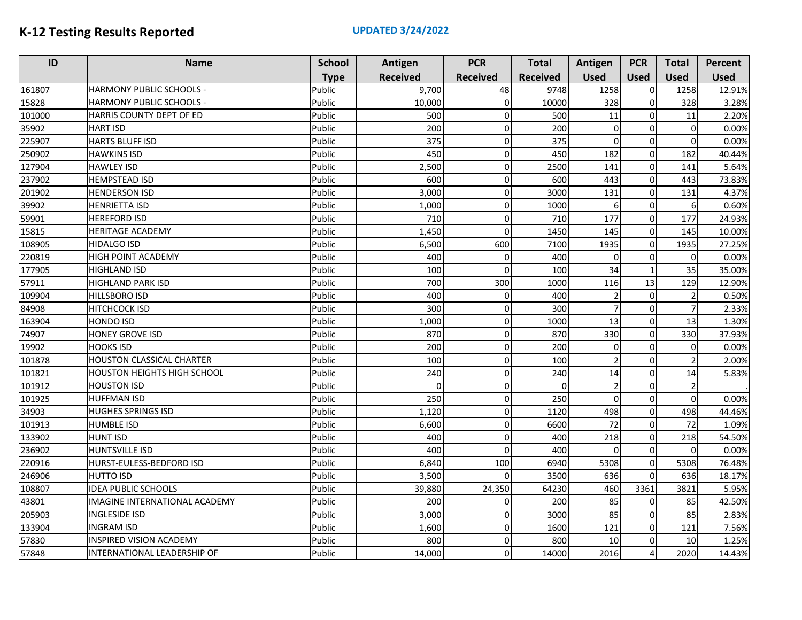| ID     | <b>Name</b>                          | <b>School</b> | Antigen         | <b>PCR</b>      | <b>Total</b>    | Antigen                  | <b>PCR</b>     | <b>Total</b>   | <b>Percent</b> |
|--------|--------------------------------------|---------------|-----------------|-----------------|-----------------|--------------------------|----------------|----------------|----------------|
|        |                                      | <b>Type</b>   | <b>Received</b> | <b>Received</b> | <b>Received</b> | <b>Used</b>              | <b>Used</b>    | <b>Used</b>    | <b>Used</b>    |
| 161807 | <b>HARMONY PUBLIC SCHOOLS -</b>      | Public        | 9,700           | 48              | 9748            | 1258                     | $\Omega$       | 1258           | 12.91%         |
| 15828  | <b>HARMONY PUBLIC SCHOOLS -</b>      | Public        | 10,000          | $\Omega$        | 10000           | 328                      | $\mathbf 0$    | 328            | 3.28%          |
| 101000 | HARRIS COUNTY DEPT OF ED             | Public        | 500             |                 | 500             | 11                       | $\Omega$       | 11             | 2.20%          |
| 35902  | <b>HART ISD</b>                      | Public        | 200             | $\Omega$        | 200             | $\mathbf 0$              | $\Omega$       | $\Omega$       | 0.00%          |
| 225907 | HARTS BLUFF ISD                      | Public        | 375             | $\Omega$        | 375             | $\mathbf 0$              | $\Omega$       | $\mathbf 0$    | 0.00%          |
| 250902 | <b>HAWKINS ISD</b>                   | Public        | 450             | $\Omega$        | 450             | 182                      | $\Omega$       | 182            | 40.44%         |
| 127904 | <b>HAWLEY ISD</b>                    | Public        | 2,500           | $\Omega$        | 2500            | 141                      | $\Omega$       | 141            | 5.64%          |
| 237902 | <b>HEMPSTEAD ISD</b>                 | Public        | 600             | 0               | 600             | 443                      | $\Omega$       | 443            | 73.83%         |
| 201902 | <b>HENDERSON ISD</b>                 | Public        | 3,000           | $\Omega$        | 3000            | 131                      | $\mathbf 0$    | 131            | 4.37%          |
| 39902  | <b>HENRIETTA ISD</b>                 | Public        | 1,000           | $\Omega$        | 1000            | $\boldsymbol{6}$         | $\Omega$       | 6              | 0.60%          |
| 59901  | <b>HEREFORD ISD</b>                  | Public        | 710             | $\Omega$        | 710             | 177                      | $\mathbf 0$    | 177            | 24.93%         |
| 15815  | <b>HERITAGE ACADEMY</b>              | Public        | 1,450           | $\Omega$        | 1450            | 145                      | $\Omega$       | 145            | 10.00%         |
| 108905 | <b>HIDALGO ISD</b>                   | Public        | 6,500           | 600             | 7100            | 1935                     | $\Omega$       | 1935           | 27.25%         |
| 220819 | <b>HIGH POINT ACADEMY</b>            | Public        | 400             | $\Omega$        | 400             | $\mathbf 0$              | $\Omega$       | $\Omega$       | 0.00%          |
| 177905 | <b>HIGHLAND ISD</b>                  | Public        | 100             | $\Omega$        | 100             | 34                       | $\overline{1}$ | 35             | 35.00%         |
| 57911  | <b>HIGHLAND PARK ISD</b>             | Public        | 700             | 300             | 1000            | 116                      | 13             | 129            | 12.90%         |
| 109904 | <b>HILLSBORO ISD</b>                 | Public        | 400             | $\Omega$        | 400             | $\overline{\mathbf{c}}$  | $\Omega$       | $\mathcal{P}$  | 0.50%          |
| 84908  | <b>HITCHCOCK ISD</b>                 | Public        | 300             | $\Omega$        | 300             | $\overline{7}$           | $\Omega$       |                | 2.33%          |
| 163904 | <b>HONDO ISD</b>                     | Public        | 1,000           | $\Omega$        | 1000            | 13                       | $\Omega$       | 13             | 1.30%          |
| 74907  | <b>HONEY GROVE ISD</b>               | Public        | 870             | $\Omega$        | 870             | 330                      | $\mathbf 0$    | 330            | 37.93%         |
| 19902  | <b>HOOKS ISD</b>                     | Public        | 200             | $\Omega$        | 200             | $\mathbf 0$              | $\mathbf 0$    | $\Omega$       | 0.00%          |
| 101878 | <b>HOUSTON CLASSICAL CHARTER</b>     | Public        | 100             | $\Omega$        | 100             | $\overline{\phantom{a}}$ | $\Omega$       |                | 2.00%          |
| 101821 | <b>HOUSTON HEIGHTS HIGH SCHOOL</b>   | Public        | 240             | $\Omega$        | 240             | 14                       | $\mathbf 0$    | 14             | 5.83%          |
| 101912 | <b>HOUSTON ISD</b>                   | Public        | $\Omega$        | $\Omega$        | $\sqrt{ }$      | $\overline{2}$           | $\mathbf 0$    | $\overline{2}$ |                |
| 101925 | <b>HUFFMAN ISD</b>                   | Public        | 250             | $\Omega$        | 250             | $\mathbf 0$              | $\Omega$       | $\Omega$       | 0.00%          |
| 34903  | <b>HUGHES SPRINGS ISD</b>            | Public        | 1,120           | $\Omega$        | 1120            | 498                      | $\Omega$       | 498            | 44.46%         |
| 101913 | <b>HUMBLE ISD</b>                    | Public        | 6,600           | $\Omega$        | 6600            | 72                       | $\Omega$       | 72             | 1.09%          |
| 133902 | <b>HUNT ISD</b>                      | Public        | 400             | $\Omega$        | 400             | 218                      | 0              | 218            | 54.50%         |
| 236902 | <b>HUNTSVILLE ISD</b>                | Public        | 400             | $\Omega$        | 400             | $\Omega$                 | $\sqrt{ }$     | $\Omega$       | 0.00%          |
| 220916 | HURST-EULESS-BEDFORD ISD             | Public        | 6,840           | 100             | 6940            | 5308                     | $\mathbf 0$    | 5308           | 76.48%         |
| 246906 | <b>HUTTO ISD</b>                     | Public        | 3,500           | $\Omega$        | 3500            | 636                      | $\Omega$       | 636            | 18.17%         |
| 108807 | <b>IDEA PUBLIC SCHOOLS</b>           | Public        | 39,880          | 24,350          | 64230           | 460                      | 3361           | 3821           | 5.95%          |
| 43801  | <b>IMAGINE INTERNATIONAL ACADEMY</b> | Public        | 200             | $\Omega$        | 200             | 85                       | 0              | 85             | 42.50%         |
| 205903 | <b>INGLESIDE ISD</b>                 | Public        | 3,000           | $\Omega$        | 3000            | 85                       | $\mathbf 0$    | 85             | 2.83%          |
| 133904 | <b>INGRAM ISD</b>                    | Public        | 1,600           | $\Omega$        | 1600            | 121                      | $\Omega$       | 121            | 7.56%          |
| 57830  | <b>INSPIRED VISION ACADEMY</b>       | Public        | 800             | $\Omega$        | 800             | 10                       | $\Omega$       | 10             | 1.25%          |
| 57848  | INTERNATIONAL LEADERSHIP OF          | Public        | 14,000          | $\Omega$        | 14000           | 2016                     | $\Delta$       | 2020           | 14.43%         |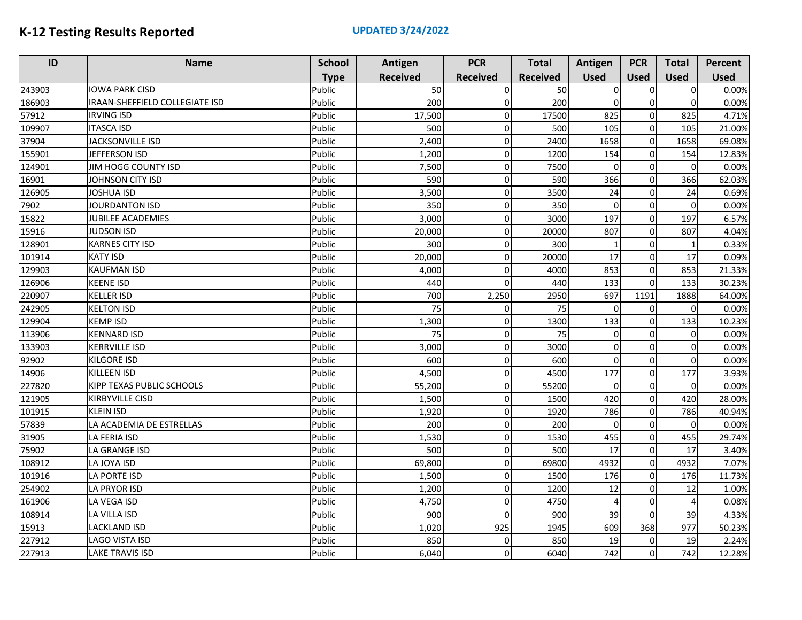| ID     | <b>Name</b>                      | <b>School</b> | Antigen         | <b>PCR</b>      | <b>Total</b>    | Antigen        | <b>PCR</b>          | <b>Total</b>   | Percent     |
|--------|----------------------------------|---------------|-----------------|-----------------|-----------------|----------------|---------------------|----------------|-------------|
|        |                                  | <b>Type</b>   | <b>Received</b> | <b>Received</b> | <b>Received</b> | <b>Used</b>    | <b>Used</b>         | <b>Used</b>    | <b>Used</b> |
| 243903 | <b>IOWA PARK CISD</b>            | Public        | 50              | $\Omega$        | 50              | $\Omega$       | 0                   | $\overline{0}$ | 0.00%       |
| 186903 | IRAAN-SHEFFIELD COLLEGIATE ISD   | Public        | 200             | $\Omega$        | 200             | $\Omega$       | $\mathbf 0$         | $\Omega$       | 0.00%       |
| 57912  | <b>IRVING ISD</b>                | Public        | 17,500          | 0               | 17500           | 825            | $\mathbf 0$         | 825            | 4.71%       |
| 109907 | <b>ITASCA ISD</b>                | Public        | 500             | O               | 500             | 105            | $\pmb{0}$           | 105            | 21.00%      |
| 37904  | <b>JACKSONVILLE ISD</b>          | Public        | 2,400           | $\Omega$        | 2400            | 1658           | $\mathbf 0$         | 1658           | 69.08%      |
| 155901 | JEFFERSON ISD                    | Public        | 1,200           | n               | 1200            | 154            | $\mathsf{O}\xspace$ | 154            | 12.83%      |
| 124901 | JIM HOGG COUNTY ISD              | Public        | 7,500           | $\Omega$        | 7500            | $\Omega$       | $\mathbf 0$         | $\Omega$       | 0.00%       |
| 16901  | JOHNSON CITY ISD                 | Public        | 590             | $\Omega$        | 590             | 366            | $\mathbf 0$         | 366            | 62.03%      |
| 126905 | <b>JOSHUA ISD</b>                | Public        | 3,500           | $\Omega$        | 3500            | 24             | $\Omega$            | 24             | 0.69%       |
| 7902   | <b>JOURDANTON ISD</b>            | Public        | 350             | $\Omega$        | 350             | $\mathbf 0$    | $\mathbf 0$         | $\Omega$       | 0.00%       |
| 15822  | <b>JUBILEE ACADEMIES</b>         | Public        | 3,000           | $\Omega$        | 3000            | 197            | $\pmb{0}$           | 197            | 6.57%       |
| 15916  | <b>JUDSON ISD</b>                | Public        | 20,000          | $\Omega$        | 20000           | 807            | $\mathbf 0$         | 807            | 4.04%       |
| 128901 | <b>KARNES CITY ISD</b>           | Public        | 300             | 0               | 300             | $\mathbf 1$    | $\mathbf 0$         |                | 0.33%       |
| 101914 | <b>KATY ISD</b>                  | Public        | 20,000          | $\Omega$        | 20000           | 17             | $\mathbf 0$         | 17             | 0.09%       |
| 129903 | <b>KAUFMAN ISD</b>               | Public        | 4,000           |                 | 4000            | 853            | $\mathbf 0$         | 853            | 21.33%      |
| 126906 | <b>KEENE ISD</b>                 | Public        | 440             | n               | 440             | 133            | $\Omega$            | 133            | 30.23%      |
| 220907 | <b>KELLER ISD</b>                | Public        | 700             | 2,250           | 2950            | 697            | 1191                | 1888           | 64.00%      |
| 242905 | <b>KELTON ISD</b>                | Public        | 75              |                 | 75              | $\Omega$       | $\mathbf 0$         | $\Omega$       | 0.00%       |
| 129904 | <b>KEMP ISD</b>                  | Public        | 1,300           | n               | 1300            | 133            | $\Omega$            | 133            | 10.23%      |
| 113906 | <b>KENNARD ISD</b>               | Public        | 75              | 0               | 75              | $\overline{0}$ | $\Omega$            | $\Omega$       | 0.00%       |
| 133903 | <b>KERRVILLE ISD</b>             | Public        | 3,000           | $\Omega$        | 3000            | 0              | $\mathbf 0$         | $\Omega$       | 0.00%       |
| 92902  | <b>KILGORE ISD</b>               | Public        | 600             | 0               | 600             | $\Omega$       | $\mathbf 0$         | $\Omega$       | 0.00%       |
| 14906  | <b>KILLEEN ISD</b>               | Public        | 4,500           | $\Omega$        | 4500            | 177            | $\mathbf 0$         | 177            | 3.93%       |
| 227820 | <b>KIPP TEXAS PUBLIC SCHOOLS</b> | Public        | 55,200          | $\Omega$        | 55200           | 0              | $\mathbf 0$         | $\Omega$       | 0.00%       |
| 121905 | KIRBYVILLE CISD                  | Public        | 1,500           | O               | 1500            | 420            | $\mathbf 0$         | 420            | 28.00%      |
| 101915 | <b>KLEIN ISD</b>                 | Public        | 1,920           | $\Omega$        | 1920            | 786            | $\mathbf 0$         | 786            | 40.94%      |
| 57839  | LA ACADEMIA DE ESTRELLAS         | Public        | 200             | $\Omega$        | 200             | $\overline{0}$ | $\mathbf 0$         | $\Omega$       | 0.00%       |
| 31905  | LA FERIA ISD                     | Public        | 1,530           | $\Omega$        | 1530            | 455            | $\Omega$            | 455            | 29.74%      |
| 75902  | LA GRANGE ISD                    | Public        | 500             | 0               | 500             | 17             | $\Omega$            | 17             | 3.40%       |
| 108912 | LA JOYA ISD                      | Public        | 69,800          | 0               | 69800           | 4932           | $\mathbf 0$         | 4932           | 7.07%       |
| 101916 | LA PORTE ISD                     | Public        | 1,500           | 0               | 1500            | 176            | $\Omega$            | 176            | 11.73%      |
| 254902 | <b>LA PRYOR ISD</b>              | Public        | 1,200           | $\Omega$        | 1200            | 12             | 0                   | 12             | 1.00%       |
| 161906 | LA VEGA ISD                      | Public        | 4,750           | O               | 4750            | 4              | $\Omega$            | 4              | 0.08%       |
| 108914 | LA VILLA ISD                     | Public        | 900             |                 | 900             | 39             | $\mathbf 0$         | 39             | 4.33%       |
| 15913  | <b>LACKLAND ISD</b>              | Public        | 1,020           | 925             | 1945            | 609            | 368                 | 977            | 50.23%      |
| 227912 | <b>LAGO VISTA ISD</b>            | Public        | 850             | $\Omega$        | 850             | 19             | $\mathbf 0$         | 19             | 2.24%       |
| 227913 | <b>LAKE TRAVIS ISD</b>           | Public        | 6,040           | $\Omega$        | 6040            | 742            | $\Omega$            | 742            | 12.28%      |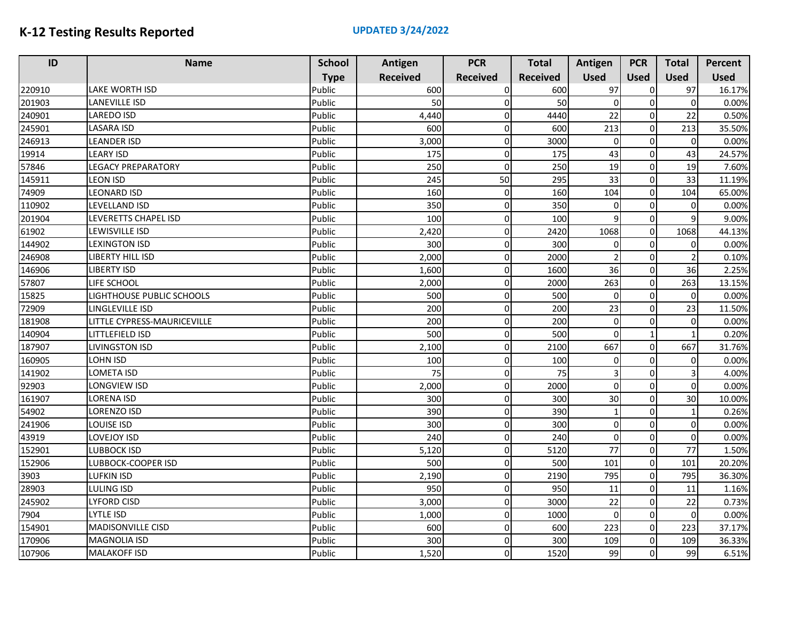| ID     | <b>Name</b>                 | <b>School</b> | Antigen         | <b>PCR</b>      | <b>Total</b>    | Antigen                  | <b>PCR</b>  | <b>Total</b> | Percent     |
|--------|-----------------------------|---------------|-----------------|-----------------|-----------------|--------------------------|-------------|--------------|-------------|
|        |                             | <b>Type</b>   | <b>Received</b> | <b>Received</b> | <b>Received</b> | <b>Used</b>              | <b>Used</b> | <b>Used</b>  | <b>Used</b> |
| 220910 | <b>LAKE WORTH ISD</b>       | Public        | 600             | $\Omega$        | 600             | 97                       | $\Omega$    | 97           | 16.17%      |
| 201903 | <b>LANEVILLE ISD</b>        | Public        | 50              | $\Omega$        | 50              | $\Omega$                 | $\mathbf 0$ | $\Omega$     | 0.00%       |
| 240901 | <b>LAREDO ISD</b>           | Public        | 4,440           | <sub>0</sub>    | 4440            | 22                       | $\sqrt{ }$  | 22           | 0.50%       |
| 245901 | <b>LASARA ISD</b>           | Public        | 600             | $\Omega$        | 600             | 213                      | $\mathbf 0$ | 213          | 35.50%      |
| 246913 | <b>LEANDER ISD</b>          | Public        | 3,000           | $\Omega$        | 3000            | $\mathbf 0$              | $\Omega$    | $\Omega$     | 0.00%       |
| 19914  | <b>LEARY ISD</b>            | Public        | 175             | $\overline{0}$  | 175             | 43                       | $\Omega$    | 43           | 24.57%      |
| 57846  | <b>LEGACY PREPARATORY</b>   | Public        | 250             | $\Omega$        | 250             | 19                       | $\Omega$    | 19           | 7.60%       |
| 145911 | <b>LEON ISD</b>             | Public        | 245             | 50              | 295             | 33                       | $\Omega$    | 33           | 11.19%      |
| 74909  | <b>LEONARD ISD</b>          | Public        | 160             | $\Omega$        | 160             | 104                      | $\Omega$    | 104          | 65.00%      |
| 110902 | LEVELLAND ISD               | Public        | 350             | $\Omega$        | 350             | 0                        | $\Omega$    | $\Omega$     | 0.00%       |
| 201904 | LEVERETTS CHAPEL ISD        | Public        | 100             | $\Omega$        | 100             | $\mathbf{q}$             | $\Omega$    | 9            | 9.00%       |
| 61902  | LEWISVILLE ISD              | Public        | 2,420           | $\Omega$        | 2420            | 1068                     | $\mathbf 0$ | 1068         | 44.13%      |
| 144902 | LEXINGTON ISD               | Public        | 300             | $\Omega$        | 300             | $\Omega$                 | $\Omega$    | $\Omega$     | 0.00%       |
| 246908 | LIBERTY HILL ISD            | Public        | 2,000           | $\Omega$        | 2000            | $\overline{\phantom{0}}$ | $\mathbf 0$ |              | 0.10%       |
| 146906 | <b>LIBERTY ISD</b>          | Public        | 1,600           | $\Omega$        | 1600            | 36                       | $\Omega$    | 36           | 2.25%       |
| 57807  | LIFE SCHOOL                 | Public        | 2,000           | $\Omega$        | 2000            | 263                      | $\Omega$    | 263          | 13.15%      |
| 15825  | LIGHTHOUSE PUBLIC SCHOOLS   | Public        | 500             | $\Omega$        | 500             | $\Omega$                 | $\Omega$    | $\Omega$     | 0.00%       |
| 72909  | LINGLEVILLE ISD             | Public        | 200             | $\Omega$        | 200             | 23                       | $\Omega$    | 23           | 11.50%      |
| 181908 | LITTLE CYPRESS-MAURICEVILLE | Public        | 200             | $\Omega$        | 200             | 0                        | $\mathbf 0$ | $\Omega$     | 0.00%       |
| 140904 | LITTLEFIELD ISD             | Public        | 500             | $\Omega$        | 500             | $\mathbf 0$              |             |              | 0.20%       |
| 187907 | <b>LIVINGSTON ISD</b>       | Public        | 2,100           | $\overline{0}$  | 2100            | 667                      | $\mathbf 0$ | 667          | 31.76%      |
| 160905 | LOHN ISD                    | Public        | 100             | $\Omega$        | 100             | $\mathbf 0$              | $\Omega$    | $\Omega$     | 0.00%       |
| 141902 | <b>LOMETA ISD</b>           | Public        | $\overline{75}$ | $\Omega$        | $\overline{75}$ | $\overline{\mathbf{3}}$  | $\Omega$    |              | 4.00%       |
| 92903  | LONGVIEW ISD                | Public        | 2,000           | $\Omega$        | 2000            | $\Omega$                 | $\Omega$    | $\Omega$     | 0.00%       |
| 161907 | <b>LORENA ISD</b>           | Public        | 300             | $\Omega$        | 300             | 30                       | $\mathbf 0$ | 30           | 10.00%      |
| 54902  | <b>LORENZO ISD</b>          | Public        | 390             | $\Omega$        | 390             | $\mathbf{1}$             | $\mathbf 0$ |              | 0.26%       |
| 241906 | <b>LOUISE ISD</b>           | Public        | 300             | $\Omega$        | 300             | $\mathbf 0$              | $\Omega$    | $\Omega$     | 0.00%       |
| 43919  | LOVEJOY ISD                 | Public        | 240             | $\Omega$        | 240             | $\mathbf 0$              | $\Omega$    | $\Omega$     | 0.00%       |
| 152901 | <b>LUBBOCK ISD</b>          | Public        | 5,120           | $\Omega$        | 5120            | 77                       | $\mathbf 0$ | 77           | 1.50%       |
| 152906 | LUBBOCK-COOPER ISD          | Public        | 500             | $\Omega$        | 500             | 101                      | $\Omega$    | 101          | 20.20%      |
| 3903   | <b>LUFKIN ISD</b>           | Public        | 2,190           | $\overline{0}$  | 2190            | 795                      | $\mathbf 0$ | 795          | 36.30%      |
| 28903  | LULING ISD                  | Public        | 950             | $\Omega$        | 950             | 11                       | $\Omega$    | 11           | 1.16%       |
| 245902 | <b>LYFORD CISD</b>          | Public        | 3,000           | $\Omega$        | 3000            | 22                       | $\Omega$    | 22           | 0.73%       |
| 7904   | <b>LYTLE ISD</b>            | Public        | 1,000           | $\Omega$        | 1000            | $\mathbf 0$              | $\Omega$    | $\Omega$     | 0.00%       |
| 154901 | <b>MADISONVILLE CISD</b>    | Public        | 600             | $\Omega$        | 600             | 223                      | $\mathbf 0$ | 223          | 37.17%      |
| 170906 | <b>MAGNOLIA ISD</b>         | Public        | 300             | $\Omega$        | 300             | 109                      | $\mathbf 0$ | 109          | 36.33%      |
| 107906 | <b>MALAKOFF ISD</b>         | Public        | 1,520           | $\Omega$        | 1520            | 99                       | $\Omega$    | 99           | 6.51%       |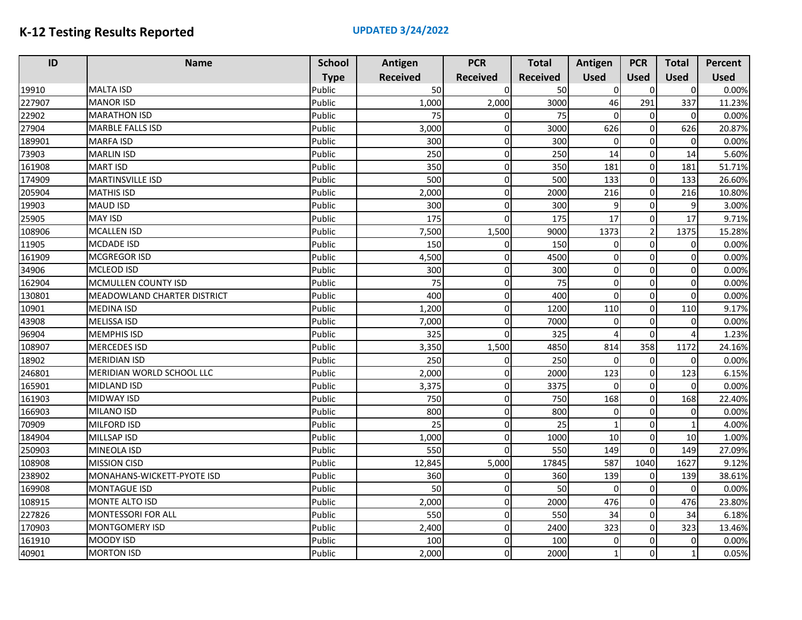| ID     | <b>Name</b>                        | <b>School</b> | Antigen         | <b>PCR</b>      | <b>Total</b>    | Antigen     | <b>PCR</b>     | <b>Total</b> | Percent     |
|--------|------------------------------------|---------------|-----------------|-----------------|-----------------|-------------|----------------|--------------|-------------|
|        |                                    | <b>Type</b>   | <b>Received</b> | <b>Received</b> | <b>Received</b> | <b>Used</b> | <b>Used</b>    | <b>Used</b>  | <b>Used</b> |
| 19910  | <b>MALTA ISD</b>                   | Public        | 50              | $\Omega$        | 50              | $\Omega$    | $\Omega$       | $\Omega$     | 0.00%       |
| 227907 | <b>MANOR ISD</b>                   | Public        | 1,000           | 2,000           | 3000            | 46          | 291            | 337          | 11.23%      |
| 22902  | <b>MARATHON ISD</b>                | Public        | 75              |                 | 75              | 0           | $\Omega$       | $\Omega$     | 0.00%       |
| 27904  | <b>MARBLE FALLS ISD</b>            | Public        | 3,000           | $\Omega$        | 3000            | 626         | $\mathbf 0$    | 626          | 20.87%      |
| 189901 | <b>MARFA ISD</b>                   | Public        | 300             | $\Omega$        | 300             | $\mathbf 0$ | $\Omega$       | $\Omega$     | 0.00%       |
| 73903  | <b>MARLIN ISD</b>                  | Public        | 250             | $\Omega$        | 250             | 14          | $\Omega$       | 14           | 5.60%       |
| 161908 | <b>MART ISD</b>                    | Public        | 350             | $\Omega$        | 350             | 181         | $\Omega$       | 181          | 51.71%      |
| 174909 | <b>MARTINSVILLE ISD</b>            | Public        | 500             | $\Omega$        | 500             | 133         | $\Omega$       | 133          | 26.60%      |
| 205904 | <b>MATHIS ISD</b>                  | Public        | 2,000           | $\Omega$        | 2000            | 216         | $\Omega$       | 216          | 10.80%      |
| 19903  | <b>MAUD ISD</b>                    | Public        | 300             | $\Omega$        | 300             | 9           | $\Omega$       | 9            | 3.00%       |
| 25905  | <b>MAY ISD</b>                     | Public        | 175             | $\Omega$        | 175             | 17          | $\mathbf 0$    | 17           | 9.71%       |
| 108906 | <b>MCALLEN ISD</b>                 | Public        | 7,500           | 1,500           | 9000            | 1373        | $\overline{2}$ | 1375         | 15.28%      |
| 11905  | <b>MCDADE ISD</b>                  | Public        | 150             | $\Omega$        | 150             | 0           | $\Omega$       | 0            | 0.00%       |
| 161909 | <b>MCGREGOR ISD</b>                | Public        | 4,500           | $\Omega$        | 4500            | $\mathbf 0$ | $\Omega$       | $\Omega$     | 0.00%       |
| 34906  | <b>MCLEOD ISD</b>                  | Public        | 300             | $\Omega$        | 300             | 0           | $\Omega$       | $\Omega$     | 0.00%       |
| 162904 | MCMULLEN COUNTY ISD                | Public        | 75              | $\Omega$        | 75              | $\mathbf 0$ | $\Omega$       | $\Omega$     | 0.00%       |
| 130801 | <b>MEADOWLAND CHARTER DISTRICT</b> | Public        | 400             | $\Omega$        | 400             | 0           | $\Omega$       | $\Omega$     | 0.00%       |
| 10901  | <b>MEDINA ISD</b>                  | Public        | 1,200           | $\Omega$        | 1200            | 110         | $\Omega$       | 110          | 9.17%       |
| 43908  | <b>MELISSA ISD</b>                 | Public        | 7,000           | $\Omega$        | 7000            | 0           | $\Omega$       | $\Omega$     | 0.00%       |
| 96904  | <b>MEMPHIS ISD</b>                 | Public        | 325             | $\Omega$        | 325             | 4           | $\Omega$       |              | 1.23%       |
| 108907 | <b>MERCEDES ISD</b>                | Public        | 3,350           | 1,500           | 4850            | 814         | 358            | 1172         | 24.16%      |
| 18902  | <b>MERIDIAN ISD</b>                | Public        | 250             | 0               | 250             | 0           | $\mathbf 0$    | $\Omega$     | 0.00%       |
| 246801 | MERIDIAN WORLD SCHOOL LLC          | Public        | 2,000           | $\Omega$        | 2000            | 123         | $\Omega$       | 123          | 6.15%       |
| 165901 | MIDLAND ISD                        | Public        | 3,375           | $\Omega$        | 3375            | $\mathbf 0$ | $\Omega$       | $\Omega$     | 0.00%       |
| 161903 | <b>MIDWAY ISD</b>                  | Public        | 750             | $\Omega$        | 750             | 168         | $\Omega$       | 168          | 22.40%      |
| 166903 | <b>MILANO ISD</b>                  | Public        | 800             | $\Omega$        | 800             | 0           | $\Omega$       | $\Omega$     | 0.00%       |
| 70909  | <b>MILFORD ISD</b>                 | Public        | 25              | $\Omega$        | 25              | 1           | $\Omega$       |              | 4.00%       |
| 184904 | MILLSAP ISD                        | Public        | 1,000           | $\Omega$        | 1000            | 10          | $\Omega$       | 10           | 1.00%       |
| 250903 | MINEOLA ISD                        | Public        | 550             | $\Omega$        | 550             | 149         | $\Omega$       | 149          | 27.09%      |
| 108908 | <b>MISSION CISD</b>                | Public        | 12,845          | 5,000           | 17845           | 587         | 1040           | 1627         | 9.12%       |
| 238902 | MONAHANS-WICKETT-PYOTE ISD         | Public        | 360             | $\Omega$        | 360             | 139         | $\mathbf 0$    | 139          | 38.61%      |
| 169908 | <b>MONTAGUE ISD</b>                | Public        | 50              | Οl              | 50              | 0           | $\Omega$       | $\Omega$     | 0.00%       |
| 108915 | MONTE ALTO ISD                     | Public        | 2,000           | οI              | 2000            | 476         | 0              | 476          | 23.80%      |
| 227826 | <b>MONTESSORI FOR ALL</b>          | Public        | 550             | $\Omega$        | 550             | 34          | $\Omega$       | 34           | 6.18%       |
| 170903 | MONTGOMERY ISD                     | Public        | 2,400           | $\overline{0}$  | 2400            | 323         | $\Omega$       | 323          | 13.46%      |
| 161910 | MOODY ISD                          | Public        | 100             | $\Omega$        | 100             | 0           | $\Omega$       | $\Omega$     | 0.00%       |
| 40901  | <b>MORTON ISD</b>                  | Public        | 2,000           | $\Omega$        | 2000            | 1           | $\Omega$       |              | 0.05%       |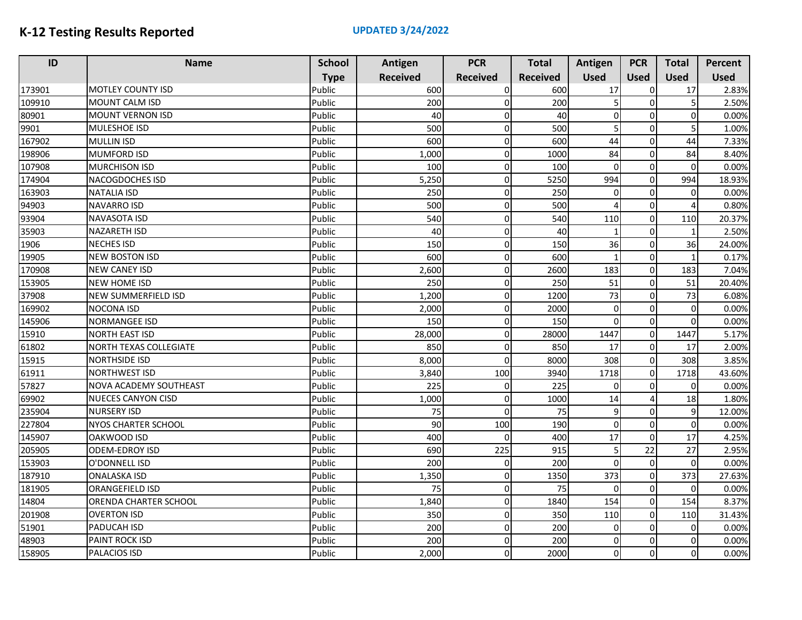| ID     | <b>Name</b>                   | <b>School</b> | Antigen         | <b>PCR</b>      | <b>Total</b>    | Antigen        | <b>PCR</b>  | <b>Total</b> | Percent     |
|--------|-------------------------------|---------------|-----------------|-----------------|-----------------|----------------|-------------|--------------|-------------|
|        |                               | <b>Type</b>   | <b>Received</b> | <b>Received</b> | <b>Received</b> | <b>Used</b>    | <b>Used</b> | <b>Used</b>  | <b>Used</b> |
| 173901 | <b>MOTLEY COUNTY ISD</b>      | Public        | 600             | $\Omega$        | 600             | 17             | $\sqrt{ }$  | 17           | 2.83%       |
| 109910 | <b>MOUNT CALM ISD</b>         | Public        | 200             | $\Omega$        | 200             |                | $\Omega$    |              | 2.50%       |
| 80901  | <b>MOUNT VERNON ISD</b>       | Public        | 40              |                 | 40              | $\overline{0}$ | O           | $\Omega$     | 0.00%       |
| 9901   | <b>MULESHOE ISD</b>           | Public        | 500             | $\Omega$        | 500             | 5              | $\Omega$    | 5            | 1.00%       |
| 167902 | <b>MULLIN ISD</b>             | Public        | 600             | $\Omega$        | 600             | 44             | $\Omega$    | 44           | 7.33%       |
| 198906 | <b>MUMFORD ISD</b>            | Public        | 1,000           | $\Omega$        | 1000            | 84             | $\Omega$    | 84           | 8.40%       |
| 107908 | <b>MURCHISON ISD</b>          | Public        | 100             | $\Omega$        | 100             | $\Omega$       | $\Omega$    | $\Omega$     | 0.00%       |
| 174904 | NACOGDOCHES ISD               | Public        | 5,250           | $\Omega$        | 5250            | 994            | $\Omega$    | 994          | 18.93%      |
| 163903 | <b>NATALIA ISD</b>            | Public        | 250             | $\Omega$        | 250             | 0              | $\Omega$    | $\Omega$     | 0.00%       |
| 94903  | <b>NAVARRO ISD</b>            | Public        | 500             | $\Omega$        | 500             | 4              | $\Omega$    |              | 0.80%       |
| 93904  | NAVASOTA ISD                  | Public        | 540             | $\Omega$        | 540             | 110            | $\mathbf 0$ | 110          | 20.37%      |
| 35903  | <b>NAZARETH ISD</b>           | Public        | 40              | $\Omega$        | 40              | $\mathbf{1}$   | $\Omega$    |              | 2.50%       |
| 1906   | <b>NECHES ISD</b>             | Public        | 150             | $\Omega$        | 150             | 36             | $\Omega$    | 36           | 24.00%      |
| 19905  | <b>NEW BOSTON ISD</b>         | Public        | 600             | $\Omega$        | 600             | $\mathbf{1}$   | $\Omega$    |              | 0.17%       |
| 170908 | <b>NEW CANEY ISD</b>          | Public        | 2,600           | 0               | 2600            | 183            | $\Omega$    | 183          | 7.04%       |
| 153905 | <b>NEW HOME ISD</b>           | Public        | 250             | $\Omega$        | 250             | 51             | $\Omega$    | 51           | 20.40%      |
| 37908  | NEW SUMMERFIELD ISD           | Public        | 1,200           | $\Omega$        | 1200            | 73             | $\Omega$    | 73           | 6.08%       |
| 169902 | <b>NOCONA ISD</b>             | Public        | 2,000           | $\Omega$        | 2000            | $\Omega$       | $\Omega$    | $\Omega$     | 0.00%       |
| 145906 | <b>NORMANGEE ISD</b>          | Public        | 150             | $\Omega$        | 150             | $\Omega$       | $\Omega$    | $\Omega$     | 0.00%       |
| 15910  | <b>NORTH EAST ISD</b>         | Public        | 28,000          | 0               | 28000           | 1447           | $\mathbf 0$ | 1447         | 5.17%       |
| 61802  | <b>NORTH TEXAS COLLEGIATE</b> | Public        | 850             | $\Omega$        | 850             | 17             | $\Omega$    | 17           | 2.00%       |
| 15915  | <b>NORTHSIDE ISD</b>          | Public        | 8,000           | $\Omega$        | 8000            | 308            | $\mathbf 0$ | 308          | 3.85%       |
| 61911  | <b>NORTHWEST ISD</b>          | Public        | 3,840           | 100             | 3940            | 1718           | $\mathbf 0$ | 1718         | 43.60%      |
| 57827  | NOVA ACADEMY SOUTHEAST        | Public        | 225             | <sup>n</sup>    | 225             | $\mathbf 0$    | $\Omega$    | $\Omega$     | 0.00%       |
| 69902  | <b>NUECES CANYON CISD</b>     | Public        | 1,000           | 0               | 1000            | 14             | $\Delta$    | 18           | 1.80%       |
| 235904 | <b>NURSERY ISD</b>            | Public        | 75              | $\Omega$        | 75              | 9              | $\Omega$    | 9            | 12.00%      |
| 227804 | <b>NYOS CHARTER SCHOOL</b>    | Public        | 90              | 100             | 190             | $\Omega$       | $\Omega$    | $\Omega$     | 0.00%       |
| 145907 | <b>OAKWOOD ISD</b>            | Public        | 400             | ∩               | 400             | 17             | $\Omega$    | 17           | 4.25%       |
| 205905 | <b>ODEM-EDROY ISD</b>         | Public        | 690             | 225             | 915             | 5              | 22          | 27           | 2.95%       |
| 153903 | O'DONNELL ISD                 | Public        | 200             | $\Omega$        | 200             | $\mathbf 0$    | $\Omega$    | $\Omega$     | 0.00%       |
| 187910 | ONALASKA ISD                  | Public        | 1,350           | $\Omega$        | 1350            | 373            | $\mathbf 0$ | 373          | 27.63%      |
| 181905 | <b>ORANGEFIELD ISD</b>        | Public        | 75              | $\Omega$        | 75              | $\Omega$       | $\Omega$    | $\Omega$     | 0.00%       |
| 14804  | ORENDA CHARTER SCHOOL         | Public        | 1,840           | $\Omega$        | 1840            | 154            | $\mathbf 0$ | 154          | 8.37%       |
| 201908 | <b>OVERTON ISD</b>            | Public        | 350             | $\Omega$        | 350             | 110            | $\Omega$    | 110          | 31.43%      |
| 51901  | PADUCAH ISD                   | Public        | 200             | $\Omega$        | 200             | $\Omega$       | $\Omega$    | $\Omega$     | 0.00%       |
| 48903  | PAINT ROCK ISD                | Public        | 200             | $\Omega$        | 200             | $\Omega$       | $\Omega$    | $\Omega$     | 0.00%       |
| 158905 | PALACIOS ISD                  | Public        | 2,000           | $\Omega$        | 2000            | 0              | $\Omega$    | $\Omega$     | 0.00%       |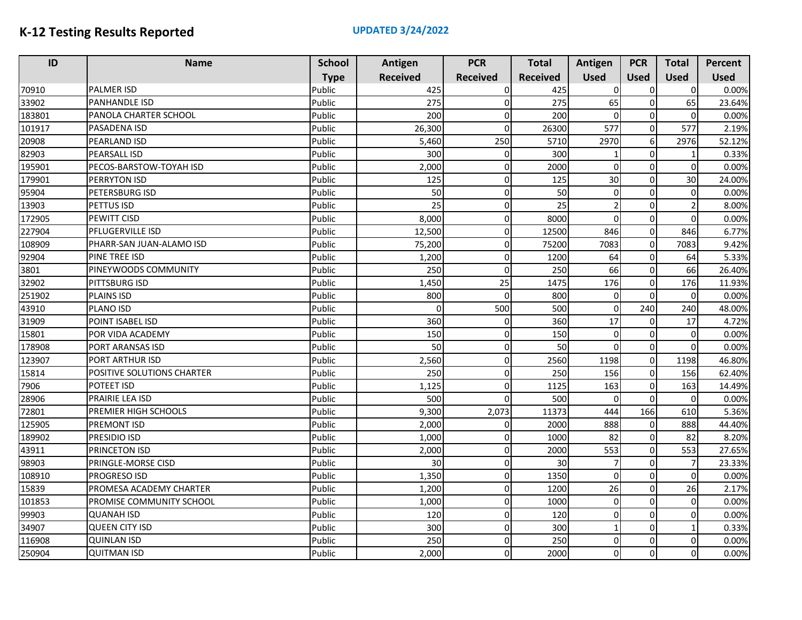| ID     | <b>Name</b>                | <b>School</b> | Antigen         | <b>PCR</b>      | <b>Total</b>    | Antigen        | <b>PCR</b>       | <b>Total</b>   | <b>Percent</b> |
|--------|----------------------------|---------------|-----------------|-----------------|-----------------|----------------|------------------|----------------|----------------|
|        |                            | <b>Type</b>   | <b>Received</b> | <b>Received</b> | <b>Received</b> | <b>Used</b>    | <b>Used</b>      | <b>Used</b>    | <b>Used</b>    |
| 70910  | <b>PALMER ISD</b>          | Public        | 425             | $\Omega$        | 425             | $\Omega$       | $\Omega$         | $\Omega$       | 0.00%          |
| 33902  | <b>PANHANDLE ISD</b>       | Public        | 275             | 0               | 275             | 65             | $\mathbf 0$      | 65             | 23.64%         |
| 183801 | PANOLA CHARTER SCHOOL      | Public        | 200             | $\Omega$        | 200             | $\Omega$       | 0                | $\Omega$       | 0.00%          |
| 101917 | PASADENA ISD               | Public        | 26,300          | $\Omega$        | 26300           | 577            | $\mathbf 0$      | 577            | 2.19%          |
| 20908  | <b>PEARLAND ISD</b>        | Public        | 5,460           | 250             | 5710            | 2970           | $\boldsymbol{6}$ | 2976           | 52.12%         |
| 82903  | <b>PEARSALL ISD</b>        | Public        | 300             | $\Omega$        | 300             |                | $\mathbf 0$      | 1              | 0.33%          |
| 195901 | PECOS-BARSTOW-TOYAH ISD    | Public        | 2,000           | O               | 2000            | <sub>0</sub>   | $\mathbf 0$      | $\Omega$       | 0.00%          |
| 179901 | <b>PERRYTON ISD</b>        | Public        | 125             | 0               | 125             | 30             | $\Omega$         | 30             | 24.00%         |
| 95904  | PETERSBURG ISD             | Public        | 50              | $\Omega$        | 50              | $\overline{0}$ | $\mathbf 0$      | $\Omega$       | 0.00%          |
| 13903  | PETTUS ISD                 | Public        | 25              | $\Omega$        | 25              | 2              | 0                | $\mathcal{P}$  | 8.00%          |
| 172905 | PEWITT CISD                | Public        | 8,000           | 0               | 8000            | $\overline{0}$ | $\mathbf 0$      | $\Omega$       | 0.00%          |
| 227904 | PFLUGERVILLE ISD           | Public        | 12,500          | 0               | 12500           | 846            | $\mathbf 0$      | 846            | 6.77%          |
| 108909 | PHARR-SAN JUAN-ALAMO ISD   | Public        | 75,200          | 0               | 75200           | 7083           | $\mathbf 0$      | 7083           | 9.42%          |
| 92904  | PINE TREE ISD              | Public        | 1,200           | 0               | 1200            | 64             | 0                | 64             | 5.33%          |
| 3801   | PINEYWOODS COMMUNITY       | Public        | 250             | $\Omega$        | 250             | 66             | $\mathbf 0$      | 66             | 26.40%         |
| 32902  | PITTSBURG ISD              | Public        | 1,450           | 25              | 1475            | 176            | $\mathbf 0$      | 176            | 11.93%         |
| 251902 | <b>PLAINS ISD</b>          | Public        | 800             | $\Omega$        | 800             | $\overline{0}$ | $\Omega$         | $\Omega$       | 0.00%          |
| 43910  | PLANO ISD                  | Public        | $\Omega$        | 500             | 500             | <sub>0</sub>   | 240              | 240            | 48.00%         |
| 31909  | POINT ISABEL ISD           | Public        | 360             | $\Omega$        | 360             | 17             | 0                | 17             | 4.72%          |
| 15801  | POR VIDA ACADEMY           | Public        | 150             | $\Omega$        | 150             | $\overline{0}$ | $\mathbf 0$      | $\Omega$       | 0.00%          |
| 178908 | PORT ARANSAS ISD           | Public        | 50              | 0               | 50              | $\overline{0}$ | $\mathbf 0$      | $\Omega$       | 0.00%          |
| 123907 | <b>PORT ARTHUR ISD</b>     | Public        | 2,560           | $\Omega$        | 2560            | 1198           | $\overline{0}$   | 1198           | 46.80%         |
| 15814  | POSITIVE SOLUTIONS CHARTER | Public        | 250             | 0               | 250             | 156            | $\pmb{0}$        | 156            | 62.40%         |
| 7906   | POTEET ISD                 | Public        | 1,125           | 0               | 1125            | 163            | 0                | 163            | 14.49%         |
| 28906  | PRAIRIE LEA ISD            | Public        | 500             |                 | 500             | $\Omega$       | $\mathbf 0$      | $\Omega$       | 0.00%          |
| 72801  | PREMIER HIGH SCHOOLS       | Public        | 9,300           | 2,073           | 11373           | 444            | 166              | 610            | 5.36%          |
| 125905 | <b>PREMONT ISD</b>         | Public        | 2,000           | O               | 2000            | 888            | $\Omega$         | 888            | 44.40%         |
| 189902 | PRESIDIO ISD               | Public        | 1,000           | n               | 1000            | 82             | $\mathbf 0$      | 82             | 8.20%          |
| 43911  | <b>PRINCETON ISD</b>       | Public        | 2,000           | $\Omega$        | 2000            | 553            | $\Omega$         | 553            | 27.65%         |
| 98903  | PRINGLE-MORSE CISD         | Public        | 30              | 0               | 30              | $\overline{7}$ | $\Omega$         | $\overline{7}$ | 23.33%         |
| 108910 | <b>PROGRESO ISD</b>        | Public        | 1,350           | 0               | 1350            | $\overline{0}$ | $\mathbf 0$      | $\Omega$       | 0.00%          |
| 15839  | PROMESA ACADEMY CHARTER    | Public        | 1,200           | $\Omega$        | 1200            | 26             | $\mathbf 0$      | 26             | 2.17%          |
| 101853 | PROMISE COMMUNITY SCHOOL   | Public        | 1,000           | 0               | 1000            | <sub>0</sub>   | $\mathbf 0$      | $\Omega$       | 0.00%          |
| 99903  | <b>QUANAH ISD</b>          | Public        | 120             | 0               | 120             | <sub>0</sub>   | $\Omega$         | $\Omega$       | 0.00%          |
| 34907  | <b>QUEEN CITY ISD</b>      | Public        | 300             | 0               | 300             | 1              | $\mathbf 0$      |                | 0.33%          |
| 116908 | <b>QUINLAN ISD</b>         | Public        | 250             | $\Omega$        | 250             | <sub>0</sub>   | $\mathbf 0$      | $\Omega$       | 0.00%          |
| 250904 | <b>QUITMAN ISD</b>         | Public        | 2,000           | $\Omega$        | 2000            | $\Omega$       | $\Omega$         | $\Omega$       | 0.00%          |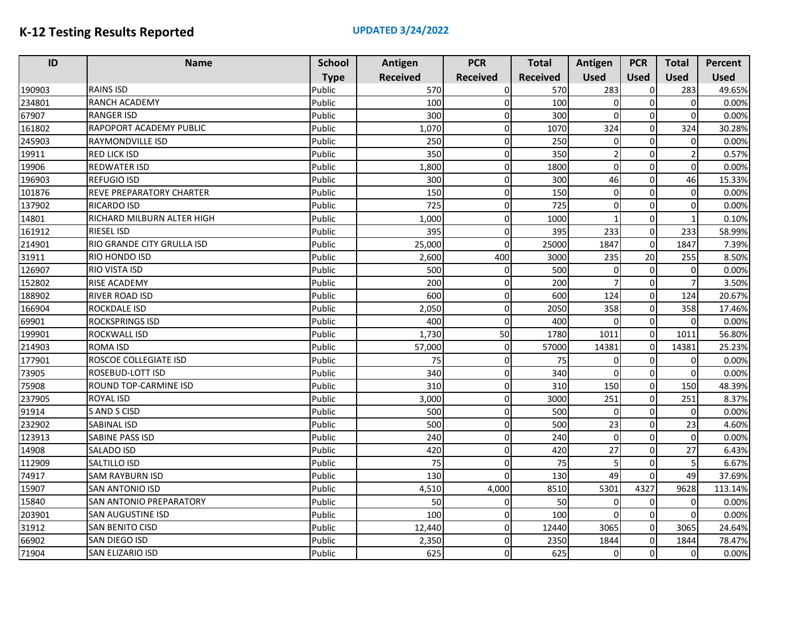| ID     | <b>Name</b>                | <b>School</b> | Antigen         | <b>PCR</b>      | <b>Total</b>    | Antigen        | <b>PCR</b>  | <b>Total</b> | Percent     |
|--------|----------------------------|---------------|-----------------|-----------------|-----------------|----------------|-------------|--------------|-------------|
|        |                            | <b>Type</b>   | <b>Received</b> | <b>Received</b> | <b>Received</b> | <b>Used</b>    | <b>Used</b> | <b>Used</b>  | <b>Used</b> |
| 190903 | <b>RAINS ISD</b>           | Public        | 570             | $\Omega$        | 570             | 283            | 0           | 283          | 49.65%      |
| 234801 | <b>RANCH ACADEMY</b>       | Public        | 100             | $\Omega$        | 100             | $\Omega$       | $\mathbf 0$ | $\Omega$     | 0.00%       |
| 67907  | <b>RANGER ISD</b>          | Public        | 300             | $\Omega$        | 300             | $\Omega$       | $\Omega$    | $\Omega$     | 0.00%       |
| 161802 | RAPOPORT ACADEMY PUBLIC    | Public        | 1,070           | 0               | 1070            | 324            | $\mathbf 0$ | 324          | 30.28%      |
| 245903 | RAYMONDVILLE ISD           | Public        | 250             | $\Omega$        | 250             | $\Omega$       | $\mathbf 0$ | $\Omega$     | 0.00%       |
| 19911  | <b>RED LICK ISD</b>        | Public        | 350             | 0               | 350             | $\mathfrak{p}$ | $\mathbf 0$ |              | 0.57%       |
| 19906  | <b>REDWATER ISD</b>        | Public        | 1,800           | $\Omega$        | 1800            | $\Omega$       | $\mathbf 0$ | $\Omega$     | 0.00%       |
| 196903 | <b>REFUGIO ISD</b>         | Public        | 300             | $\Omega$        | 300             | 46             | $\Omega$    | 46           | 15.33%      |
| 101876 | REVE PREPARATORY CHARTER   | Public        | 150             | $\Omega$        | 150             | $\Omega$       | $\Omega$    | $\Omega$     | 0.00%       |
| 137902 | <b>RICARDO ISD</b>         | Public        | 725             | $\Omega$        | 725             | $\Omega$       | $\Omega$    | $\Omega$     | 0.00%       |
| 14801  | RICHARD MILBURN ALTER HIGH | Public        | 1,000           | $\mathbf 0$     | 1000            |                | $\mathbf 0$ |              | 0.10%       |
| 161912 | <b>RIESEL ISD</b>          | Public        | 395             | $\Omega$        | 395             | 233            | $\mathbf 0$ | 233          | 58.99%      |
| 214901 | RIO GRANDE CITY GRULLA ISD | Public        | 25,000          | $\Omega$        | 25000           | 1847           | $\mathbf 0$ | 1847         | 7.39%       |
| 31911  | RIO HONDO ISD              | Public        | 2,600           | 400             | 3000            | 235            | 20          | 255          | 8.50%       |
| 126907 | <b>RIO VISTA ISD</b>       | Public        | 500             | $\Omega$        | 500             | $\Omega$       | $\Omega$    | $\Omega$     | 0.00%       |
| 152802 | <b>RISE ACADEMY</b>        | Public        | 200             | $\Omega$        | 200             | $\overline{7}$ | $\mathbf 0$ |              | 3.50%       |
| 188902 | <b>RIVER ROAD ISD</b>      | Public        | 600             | 0               | 600             | 124            | $\mathbf 0$ | 124          | 20.67%      |
| 166904 | <b>ROCKDALE ISD</b>        | Public        | 2,050           | $\Omega$        | 2050            | 358            | $\mathbf 0$ | 358          | 17.46%      |
| 69901  | <b>ROCKSPRINGS ISD</b>     | Public        | 400             | $\Omega$        | 400             | 0              | $\mathbf 0$ | $\Omega$     | 0.00%       |
| 199901 | ROCKWALL ISD               | Public        | 1,730           | 50              | 1780            | 1011           | $\Omega$    | 1011         | 56.80%      |
| 214903 | ROMA ISD                   | Public        | 57,000          | $\mathbf 0$     | 57000           | 14381          | $\mathbf 0$ | 14381        | 25.23%      |
| 177901 | ROSCOE COLLEGIATE ISD      | Public        | 75              | 0               | 75              | $\Omega$       | $\mathbf 0$ | 0            | 0.00%       |
| 73905  | <b>ROSEBUD-LOTT ISD</b>    | Public        | 340             | $\Omega$        | 340             | $\Omega$       | $\mathbf 0$ | $\Omega$     | 0.00%       |
| 75908  | ROUND TOP-CARMINE ISD      | Public        | 310             | $\Omega$        | 310             | 150            | $\mathbf 0$ | 150          | 48.39%      |
| 237905 | <b>ROYAL ISD</b>           | Public        | 3,000           | $\Omega$        | 3000            | 251            | $\mathbf 0$ | 251          | 8.37%       |
| 91914  | S AND S CISD               | Public        | 500             | $\Omega$        | 500             | $\Omega$       | $\mathbf 0$ | $\Omega$     | 0.00%       |
| 232902 | <b>SABINAL ISD</b>         | Public        | 500             | 0               | 500             | 23             | $\Omega$    | 23           | 4.60%       |
| 123913 | SABINE PASS ISD            | Public        | 240             | $\Omega$        | 240             | $\Omega$       | $\Omega$    | $\Omega$     | 0.00%       |
| 14908  | SALADO ISD                 | Public        | 420             | $\Omega$        | 420             | 27             | $\Omega$    | 27           | 6.43%       |
| 112909 | SALTILLO ISD               | Public        | 75              | $\Omega$        | 75              | 5              | $\mathbf 0$ |              | 6.67%       |
| 74917  | <b>SAM RAYBURN ISD</b>     | Public        | 130             | $\Omega$        | 130             | 49             | $\mathbf 0$ | 49           | 37.69%      |
| 15907  | <b>SAN ANTONIO ISD</b>     | Public        | 4,510           | 4,000           | 8510            | 5301           | 4327        | 9628         | 113.14%     |
| 15840  | SAN ANTONIO PREPARATORY    | Public        | 50              | 0               | 50              | O              | $\mathbf 0$ | $\Omega$     | 0.00%       |
| 203901 | SAN AUGUSTINE ISD          | Public        | 100             | 0               | 100             | $\Omega$       | $\mathbf 0$ | $\Omega$     | 0.00%       |
| 31912  | SAN BENITO CISD            | Public        | 12,440          | 0               | 12440           | 3065           | $\mathbf 0$ | 3065         | 24.64%      |
| 66902  | SAN DIEGO ISD              | Public        | 2,350           | $\Omega$        | 2350            | 1844           | $\mathbf 0$ | 1844         | 78.47%      |
| 71904  | SAN ELIZARIO ISD           | Public        | 625             | $\Omega$        | 625             | $\Omega$       | $\mathbf 0$ | $\Omega$     | 0.00%       |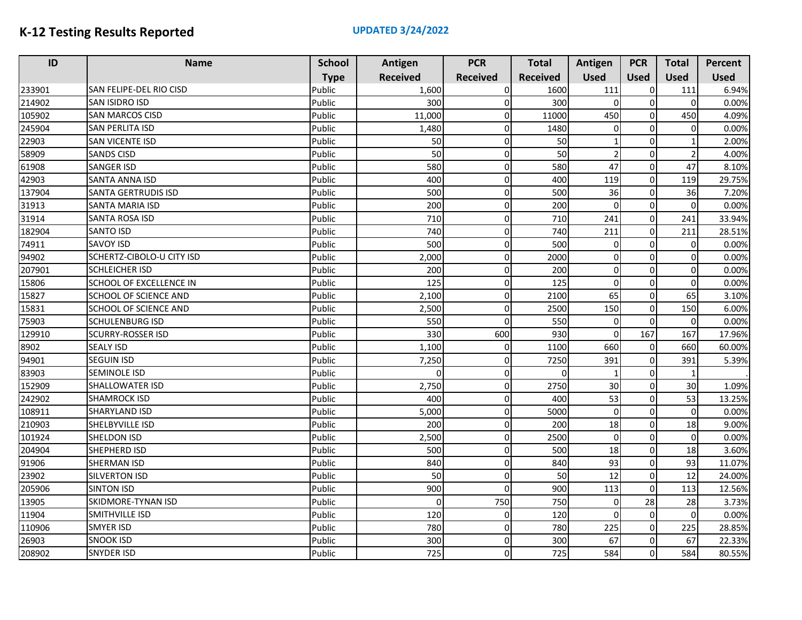| ID     | <b>Name</b>                    | <b>School</b> | Antigen         | <b>PCR</b>      | <b>Total</b>    | Antigen        | <b>PCR</b>  | <b>Total</b>   | <b>Percent</b> |
|--------|--------------------------------|---------------|-----------------|-----------------|-----------------|----------------|-------------|----------------|----------------|
|        |                                | <b>Type</b>   | <b>Received</b> | <b>Received</b> | <b>Received</b> | <b>Used</b>    | <b>Used</b> | <b>Used</b>    | <b>Used</b>    |
| 233901 | SAN FELIPE-DEL RIO CISD        | Public        | 1,600           | $\Omega$        | 1600            | 111            | 0           | 111            | 6.94%          |
| 214902 | SAN ISIDRO ISD                 | Public        | 300             | 0               | 300             | 0              | $\pmb{0}$   | $\Omega$       | 0.00%          |
| 105902 | <b>SAN MARCOS CISD</b>         | Public        | 11,000          | 0               | 11000           | 450            | $\mathbf 0$ | 450            | 4.09%          |
| 245904 | SAN PERLITA ISD                | Public        | 1,480           | 0               | 1480            | $\overline{0}$ | 0           | $\Omega$       | 0.00%          |
| 22903  | <b>SAN VICENTE ISD</b>         | Public        | 50              | 0               | 50              | 1              | $\mathbf 0$ |                | 2.00%          |
| 58909  | <b>SANDS CISD</b>              | Public        | 50              | $\Omega$        | 50              | $\overline{2}$ | $\Omega$    | $\overline{2}$ | 4.00%          |
| 61908  | <b>SANGER ISD</b>              | Public        | 580             | $\Omega$        | 580             | 47             | $\mathbf 0$ | 47             | 8.10%          |
| 42903  | <b>SANTA ANNA ISD</b>          | Public        | 400             | $\Omega$        | 400             | 119            | $\mathbf 0$ | 119            | 29.75%         |
| 137904 | <b>SANTA GERTRUDIS ISD</b>     | Public        | 500             | $\Omega$        | 500             | 36             | $\mathbf 0$ | 36             | 7.20%          |
| 31913  | SANTA MARIA ISD                | Public        | 200             | $\Omega$        | 200             | $\mathbf 0$    | $\Omega$    | $\Omega$       | 0.00%          |
| 31914  | <b>SANTA ROSA ISD</b>          | Public        | 710             | $\Omega$        | 710             | 241            | $\mathbf 0$ | 241            | 33.94%         |
| 182904 | SANTO ISD                      | Public        | 740             | $\Omega$        | 740             | 211            | $\mathbf 0$ | 211            | 28.51%         |
| 74911  | <b>SAVOY ISD</b>               | Public        | 500             | $\Omega$        | 500             | $\Omega$       | $\Omega$    | $\Omega$       | 0.00%          |
| 94902  | SCHERTZ-CIBOLO-U CITY ISD      | Public        | 2,000           | $\Omega$        | 2000            | 0              | $\Omega$    | $\Omega$       | 0.00%          |
| 207901 | <b>SCHLEICHER ISD</b>          | Public        | 200             | $\Omega$        | 200             | 0              | $\Omega$    | $\Omega$       | 0.00%          |
| 15806  | <b>SCHOOL OF EXCELLENCE IN</b> | Public        | 125             | 0               | 125             | $\mathbf 0$    | $\mathbf 0$ | $\Omega$       | 0.00%          |
| 15827  | SCHOOL OF SCIENCE AND          | Public        | 2,100           | $\Omega$        | 2100            | 65             | $\mathbf 0$ | 65             | 3.10%          |
| 15831  | SCHOOL OF SCIENCE AND          | Public        | 2,500           | $\Omega$        | 2500            | 150            | $\mathbf 0$ | 150            | 6.00%          |
| 75903  | <b>SCHULENBURG ISD</b>         | Public        | 550             | n               | 550             | $\mathbf 0$    | $\mathbf 0$ | $\Omega$       | 0.00%          |
| 129910 | <b>SCURRY-ROSSER ISD</b>       | Public        | 330             | 600             | 930             | $\mathbf 0$    | 167         | 167            | 17.96%         |
| 8902   | <b>SEALY ISD</b>               | Public        | 1,100           | $\Omega$        | 1100            | 660            | $\mathbf 0$ | 660            | 60.00%         |
| 94901  | <b>SEGUIN ISD</b>              | Public        | 7,250           | 0               | 7250            | 391            | $\mathbf 0$ | 391            | 5.39%          |
| 83903  | <b>SEMINOLE ISD</b>            | Public        | $\Omega$        | $\Omega$        | $\Omega$        | $\mathbf{1}$   | $\mathbf 0$ |                |                |
| 152909 | SHALLOWATER ISD                | Public        | 2,750           | <sup>0</sup>    | 2750            | 30             | $\Omega$    | 30             | 1.09%          |
| 242902 | <b>SHAMROCK ISD</b>            | Public        | 400             | $\Omega$        | 400             | 53             | $\mathbf 0$ | 53             | 13.25%         |
| 108911 | SHARYLAND ISD                  | Public        | 5,000           | $\Omega$        | 5000            | $\overline{O}$ | $\mathbf 0$ | $\Omega$       | 0.00%          |
| 210903 | SHELBYVILLE ISD                | Public        | 200             | $\Omega$        | 200             | 18             | $\Omega$    | 18             | 9.00%          |
| 101924 | SHELDON ISD                    | Public        | 2,500           | 0               | 2500            | $\mathbf 0$    | $\mathbf 0$ | $\Omega$       | 0.00%          |
| 204904 | SHEPHERD ISD                   | Public        | 500             | $\Omega$        | 500             | 18             | $\mathbf 0$ | 18             | 3.60%          |
| 91906  | <b>SHERMAN ISD</b>             | Public        | 840             | $\Omega$        | 840             | 93             | $\mathbf 0$ | 93             | 11.07%         |
| 23902  | <b>SILVERTON ISD</b>           | Public        | 50              | $\Omega$        | 50              | 12             | $\mathbf 0$ | 12             | 24.00%         |
| 205906 | <b>SINTON ISD</b>              | Public        | 900             | 0               | 900             | 113            | $\pmb{0}$   | 113            | 12.56%         |
| 13905  | SKIDMORE-TYNAN ISD             | Public        | $\Omega$        | 750             | 750             | 0              | 28          | 28             | 3.73%          |
| 11904  | SMITHVILLE ISD                 | Public        | 120             |                 | 120             | 0              | $\mathbf 0$ | $\Omega$       | 0.00%          |
| 110906 | <b>SMYER ISD</b>               | Public        | 780             | $\Omega$        | 780             | 225            | $\mathbf 0$ | 225            | 28.85%         |
| 26903  | <b>SNOOK ISD</b>               | Public        | 300             | $\Omega$        | 300             | 67             | $\mathbf 0$ | 67             | 22.33%         |
| 208902 | <b>SNYDER ISD</b>              | Public        | 725             | $\Omega$        | 725             | 584            | $\Omega$    | 584            | 80.55%         |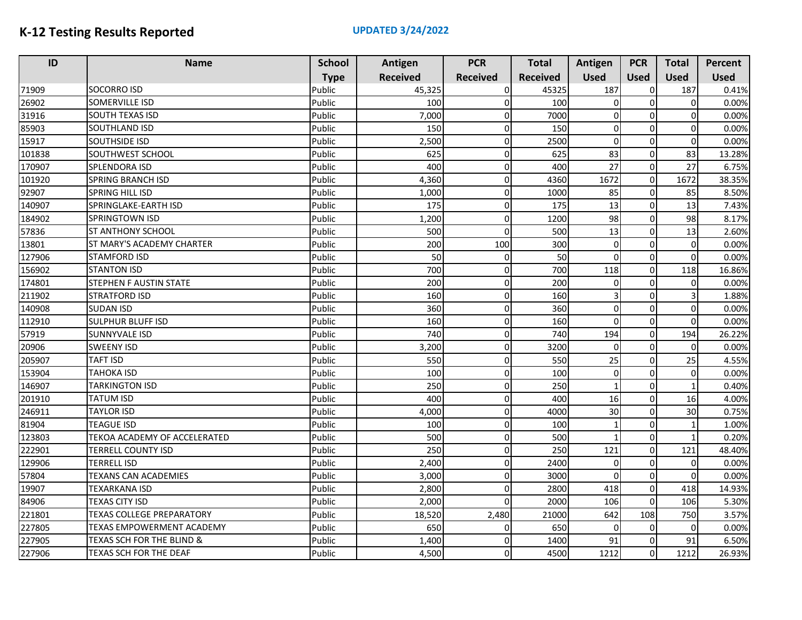| ID     | <b>Name</b>                      | <b>School</b> | Antigen         | <b>PCR</b>      | <b>Total</b>    | Antigen        | <b>PCR</b>  | <b>Total</b> | Percent     |
|--------|----------------------------------|---------------|-----------------|-----------------|-----------------|----------------|-------------|--------------|-------------|
|        |                                  | <b>Type</b>   | <b>Received</b> | <b>Received</b> | <b>Received</b> | <b>Used</b>    | <b>Used</b> | <b>Used</b>  | <b>Used</b> |
| 71909  | <b>SOCORRO ISD</b>               | Public        | 45,325          | $\Omega$        | 45325           | 187            | $\Omega$    | 187          | 0.41%       |
| 26902  | <b>SOMERVILLE ISD</b>            | Public        | 100             | $\Omega$        | 100             | $\mathbf 0$    | $\Omega$    | $\Omega$     | 0.00%       |
| 31916  | <b>SOUTH TEXAS ISD</b>           | Public        | 7,000           |                 | 7000            | 0              | C           | $\Omega$     | 0.00%       |
| 85903  | <b>SOUTHLAND ISD</b>             | Public        | 150             | $\Omega$        | 150             | $\mathbf 0$    | $\mathbf 0$ | $\Omega$     | 0.00%       |
| 15917  | <b>SOUTHSIDE ISD</b>             | Public        | 2,500           | $\Omega$        | 2500            | $\mathbf 0$    | $\Omega$    | $\mathbf 0$  | 0.00%       |
| 101838 | SOUTHWEST SCHOOL                 | Public        | 625             | $\Omega$        | 625             | 83             | $\Omega$    | 83           | 13.28%      |
| 170907 | <b>SPLENDORA ISD</b>             | Public        | 400             | $\Omega$        | 400             | 27             | $\Omega$    | 27           | 6.75%       |
| 101920 | <b>SPRING BRANCH ISD</b>         | Public        | 4,360           | $\Omega$        | 4360            | 1672           | $\mathbf 0$ | 1672         | 38.35%      |
| 92907  | <b>SPRING HILL ISD</b>           | Public        | 1,000           | $\Omega$        | 1000            | 85             | $\mathbf 0$ | 85           | 8.50%       |
| 140907 | SPRINGLAKE-EARTH ISD             | Public        | 175             | $\Omega$        | 175             | 13             | $\Omega$    | 13           | 7.43%       |
| 184902 | <b>SPRINGTOWN ISD</b>            | Public        | 1,200           | $\Omega$        | 1200            | 98             | $\Omega$    | 98           | 8.17%       |
| 57836  | <b>ST ANTHONY SCHOOL</b>         | Public        | 500             | $\Omega$        | 500             | 13             | $\Omega$    | 13           | 2.60%       |
| 13801  | ST MARY'S ACADEMY CHARTER        | Public        | 200             | 100             | 300             | $\mathbf 0$    | $\Omega$    | $\Omega$     | 0.00%       |
| 127906 | <b>STAMFORD ISD</b>              | Public        | 50              | $\Omega$        | 50              | $\mathbf 0$    | $\Omega$    | $\Omega$     | 0.00%       |
| 156902 | <b>STANTON ISD</b>               | Public        | 700             | $\Omega$        | 700             | 118            | $\Omega$    | 118          | 16.86%      |
| 174801 | STEPHEN F AUSTIN STATE           | Public        | 200             | $\Omega$        | 200             | $\mathbf 0$    | $\Omega$    | $\Omega$     | 0.00%       |
| 211902 | <b>STRATFORD ISD</b>             | Public        | 160             | $\Omega$        | 160             | $\overline{3}$ | $\Omega$    |              | 1.88%       |
| 140908 | <b>SUDAN ISD</b>                 | Public        | 360             | $\Omega$        | 360             | $\mathbf 0$    | $\mathbf 0$ | $\Omega$     | 0.00%       |
| 112910 | <b>SULPHUR BLUFF ISD</b>         | Public        | 160             | $\Omega$        | 160             | $\Omega$       | $\Omega$    | $\Omega$     | 0.00%       |
| 57919  | <b>SUNNYVALE ISD</b>             | Public        | 740             | $\Omega$        | 740             | 194            | $\mathbf 0$ | 194          | 26.22%      |
| 20906  | <b>SWEENY ISD</b>                | Public        | 3,200           | $\Omega$        | 3200            | $\mathbf 0$    | $\Omega$    | $\Omega$     | 0.00%       |
| 205907 | <b>TAFT ISD</b>                  | Public        | 550             | $\Omega$        | 550             | 25             | $\Omega$    | 25           | 4.55%       |
| 153904 | <b>TAHOKA ISD</b>                | Public        | 100             | $\Omega$        | 100             | 0              | $\Omega$    | $\Omega$     | 0.00%       |
| 146907 | <b>TARKINGTON ISD</b>            | Public        | 250             | $\Omega$        | 250             | $\mathbf{1}$   | $\Omega$    |              | 0.40%       |
| 201910 | <b>TATUM ISD</b>                 | Public        | 400             | $\Omega$        | 400             | 16             | $\Omega$    | 16           | 4.00%       |
| 246911 | <b>TAYLOR ISD</b>                | Public        | 4,000           | $\Omega$        | 4000            | 30             | $\Omega$    | 30           | 0.75%       |
| 81904  | <b>TEAGUE ISD</b>                | Public        | 100             | $\Omega$        | 100             | $\mathbf{1}$   | $\Omega$    |              | 1.00%       |
| 123803 | TEKOA ACADEMY OF ACCELERATED     | Public        | 500             | $\Omega$        | 500             | 1              | $\Omega$    |              | 0.20%       |
| 222901 | TERRELL COUNTY ISD               | Public        | 250             | $\Omega$        | 250             | 121            | $\mathbf 0$ | 121          | 48.40%      |
| 129906 | TERRELL ISD                      | Public        | 2,400           | $\overline{0}$  | 2400            | $\mathbf 0$    | $\Omega$    | $\Omega$     | 0.00%       |
| 57804  | <b>TEXANS CAN ACADEMIES</b>      | Public        | 3,000           | $\Omega$        | 3000            | $\Omega$       | $\Omega$    | $\Omega$     | 0.00%       |
| 19907  | <b>TEXARKANA ISD</b>             | Public        | 2,800           | $\Omega$        | 2800            | 418            | $\mathbf 0$ | 418          | 14.93%      |
| 84906  | <b>TEXAS CITY ISD</b>            | Public        | 2,000           | $\Omega$        | 2000            | 106            | $\Omega$    | 106          | 5.30%       |
| 221801 | <b>TEXAS COLLEGE PREPARATORY</b> | Public        | 18,520          | 2,480           | 21000           | 642            | 108         | 750          | 3.57%       |
| 227805 | TEXAS EMPOWERMENT ACADEMY        | Public        | 650             | $\Omega$        | 650             | 0              | $\Omega$    | $\Omega$     | 0.00%       |
| 227905 | TEXAS SCH FOR THE BLIND &        | Public        | 1,400           | $\Omega$        | 1400            | 91             | $\Omega$    | 91           | 6.50%       |
| 227906 | TEXAS SCH FOR THE DEAF           | Public        | 4,500           | $\Omega$        | 4500            | 1212           | $\Omega$    | 1212         | 26.93%      |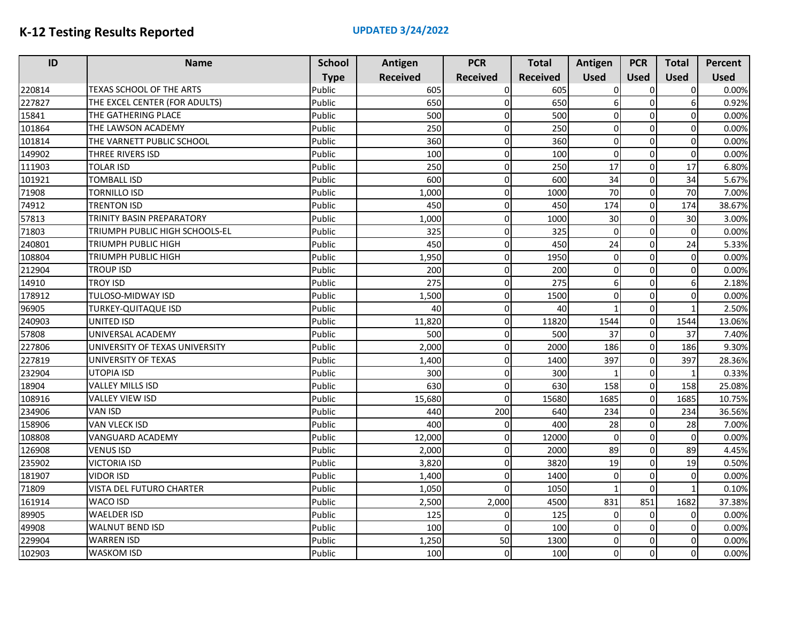| ID     | <b>Name</b>                    | <b>School</b> | Antigen         | <b>PCR</b>      | <b>Total</b>    | Antigen        | <b>PCR</b>     | <b>Total</b>   | <b>Percent</b> |
|--------|--------------------------------|---------------|-----------------|-----------------|-----------------|----------------|----------------|----------------|----------------|
|        |                                | <b>Type</b>   | <b>Received</b> | <b>Received</b> | <b>Received</b> | <b>Used</b>    | <b>Used</b>    | <b>Used</b>    | <b>Used</b>    |
| 220814 | TEXAS SCHOOL OF THE ARTS       | Public        | 605             | $\Omega$        | 605             | 0              | 0              | $\overline{0}$ | 0.00%          |
| 227827 | THE EXCEL CENTER (FOR ADULTS)  | Public        | 650             | $\Omega$        | 650             | 6              | $\mathbf 0$    | $6 \mid$       | 0.92%          |
| 15841  | THE GATHERING PLACE            | Public        | 500             | 0               | 500             | $\Omega$       | 0              | $\Omega$       | 0.00%          |
| 101864 | THE LAWSON ACADEMY             | Public        | 250             | 0               | 250             | <sub>0</sub>   | $\Omega$       | $\Omega$       | 0.00%          |
| 101814 | THE VARNETT PUBLIC SCHOOL      | Public        | 360             | $\Omega$        | 360             | $\overline{0}$ | $\Omega$       | $\Omega$       | 0.00%          |
| 149902 | THREE RIVERS ISD               | Public        | 100             | 0               | 100             | $\Omega$       | $\mathbf 0$    | $\Omega$       | 0.00%          |
| 111903 | <b>TOLAR ISD</b>               | Public        | 250             | $\Omega$        | 250             | 17             | $\Omega$       | 17             | 6.80%          |
| 101921 | TOMBALL ISD                    | Public        | 600             | 0               | 600             | 34             | $\mathbf 0$    | 34             | 5.67%          |
| 71908  | <b>TORNILLO ISD</b>            | Public        | 1,000           | 0               | 1000            | 70             | $\mathbf 0$    | 70             | 7.00%          |
| 74912  | <b>TRENTON ISD</b>             | Public        | 450             | $\Omega$        | 450             | 174            | $\mathbf 0$    | 174            | 38.67%         |
| 57813  | TRINITY BASIN PREPARATORY      | Public        | 1,000           | 0               | 1000            | 30             | $\mathbf 0$    | 30             | 3.00%          |
| 71803  | TRIUMPH PUBLIC HIGH SCHOOLS-EL | Public        | 325             | $\Omega$        | 325             | $\Omega$       | $\Omega$       | $\Omega$       | 0.00%          |
| 240801 | TRIUMPH PUBLIC HIGH            | Public        | 450             | 0               | 450             | 24             | $\mathbf 0$    | 24             | 5.33%          |
| 108804 | TRIUMPH PUBLIC HIGH            | Public        | 1,950           | $\Omega$        | 1950            | $\Omega$       | 0              | $\Omega$       | 0.00%          |
| 212904 | TROUP ISD                      | Public        | 200             | $\Omega$        | 200             | <sub>0</sub>   | $\mathbf 0$    | $\Omega$       | 0.00%          |
| 14910  | <b>TROY ISD</b>                | Public        | 275             | 0               | 275             | 6              | $\mathbf 0$    | 6              | 2.18%          |
| 178912 | <b>TULOSO-MIDWAY ISD</b>       | Public        | 1,500           | $\Omega$        | 1500            | <sub>0</sub>   | $\Omega$       | $\Omega$       | 0.00%          |
| 96905  | TURKEY-QUITAQUE ISD            | Public        | 40              | 0               | 40              | 1              | $\mathbf 0$    |                | 2.50%          |
| 240903 | UNITED ISD                     | Public        | 11,820          | 0               | 11820           | 1544           | $\overline{0}$ | 1544           | 13.06%         |
| 57808  | UNIVERSAL ACADEMY              | Public        | 500             | $\Omega$        | 500             | 37             | $\mathbf 0$    | 37             | 7.40%          |
| 227806 | UNIVERSITY OF TEXAS UNIVERSITY | Public        | 2,000           | 0               | 2000            | 186            | $\mathbf 0$    | 186            | 9.30%          |
| 227819 | UNIVERSITY OF TEXAS            | Public        | 1.400           | 0               | 1400            | 397            | $\mathbf 0$    | 397            | 28.36%         |
| 232904 | <b>UTOPIA ISD</b>              | Public        | 300             | 0               | 300             | $\mathbf{1}$   | $\mathbf 0$    |                | 0.33%          |
| 18904  | <b>VALLEY MILLS ISD</b>        | Public        | 630             | O               | 630             | 158            | $\mathbf 0$    | 158            | 25.08%         |
| 108916 | <b>VALLEY VIEW ISD</b>         | Public        | 15,680          | $\Omega$        | 15680           | 1685           | $\mathbf 0$    | 1685           | 10.75%         |
| 234906 | <b>VAN ISD</b>                 | Public        | 440             | 200             | 640             | 234            | $\mathbf 0$    | 234            | 36.56%         |
| 158906 | <b>VAN VLECK ISD</b>           | Public        | 400             | $\Omega$        | 400             | 28             | $\mathbf 0$    | 28             | 7.00%          |
| 108808 | VANGUARD ACADEMY               | Public        | 12,000          | O               | 12000           | $\Omega$       | $\Omega$       | $\Omega$       | 0.00%          |
| 126908 | VENUS ISD                      | Public        | 2,000           | 0               | 2000            | 89             | $\Omega$       | 89             | 4.45%          |
| 235902 | VICTORIA ISD                   | Public        | 3,820           | 0               | 3820            | 19             | $\mathbf 0$    | 19             | 0.50%          |
| 181907 | <b>VIDOR ISD</b>               | Public        | 1,400           | $\Omega$        | 1400            | $\Omega$       | $\Omega$       | $\Omega$       | 0.00%          |
| 71809  | VISTA DEL FUTURO CHARTER       | Public        | 1,050           | $\Omega$        | 1050            | $\mathbf{1}$   | $\mathbf 0$    |                | 0.10%          |
| 161914 | <b>WACO ISD</b>                | Public        | 2,500           | 2,000           | 4500            | 831            | 851            | 1682           | 37.38%         |
| 89905  | <b>WAELDER ISD</b>             | Public        | 125             | O               | 125             | $\overline{0}$ | $\mathbf 0$    | $\Omega$       | 0.00%          |
| 49908  | <b>WALNUT BEND ISD</b>         | Public        | 100             | $\Omega$        | 100             | <sub>0</sub>   | $\mathbf 0$    | $\Omega$       | 0.00%          |
| 229904 | <b>WARREN ISD</b>              | Public        | 1,250           | 50              | 1300            | 0              | 0              | $\Omega$       | 0.00%          |
| 102903 | <b>WASKOM ISD</b>              | Public        | 100             | $\Omega$        | 100             | $\mathbf{0}$   | $\Omega$       | $\Omega$       | 0.00%          |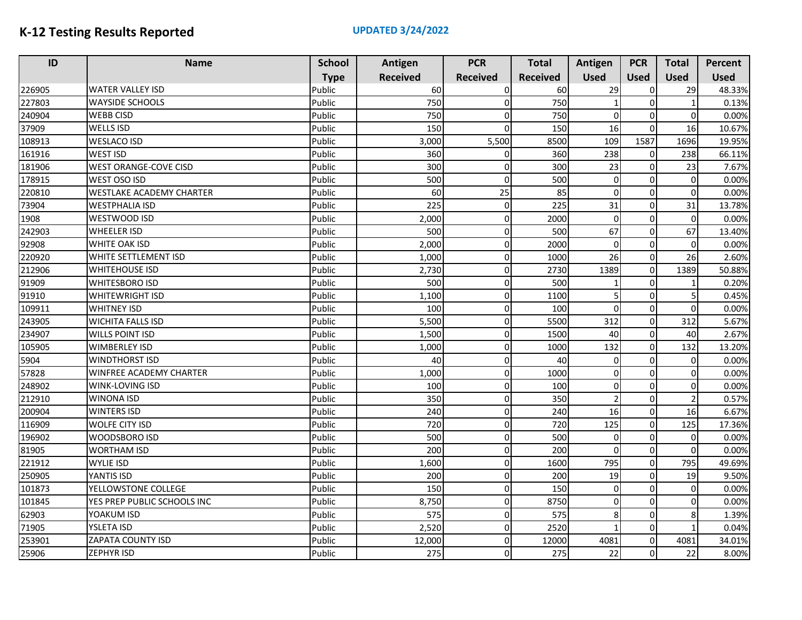| ID     | <b>Name</b>                  | <b>School</b> | Antigen         | <b>PCR</b>      | <b>Total</b>    | Antigen        | <b>PCR</b>   | <b>Total</b> | Percent     |
|--------|------------------------------|---------------|-----------------|-----------------|-----------------|----------------|--------------|--------------|-------------|
|        |                              | <b>Type</b>   | <b>Received</b> | <b>Received</b> | <b>Received</b> | <b>Used</b>    | <b>Used</b>  | <b>Used</b>  | <b>Used</b> |
| 226905 | <b>WATER VALLEY ISD</b>      | Public        | 60              | $\Omega$        | 60              | 29             | $\Omega$     | 29           | 48.33%      |
| 227803 | <b>WAYSIDE SCHOOLS</b>       | Public        | 750             | $\Omega$        | 750             |                | $\Omega$     |              | 0.13%       |
| 240904 | <b>WEBB CISD</b>             | Public        | 750             |                 | 750             | $\Omega$       | O            | $\Omega$     | 0.00%       |
| 37909  | <b>WELLS ISD</b>             | Public        | 150             |                 | 150             | 16             | $\Omega$     | 16           | 10.67%      |
| 108913 | <b>WESLACO ISD</b>           | Public        | 3,000           | 5,500           | 8500            | 109            | 1587         | 1696         | 19.95%      |
| 161916 | <b>WEST ISD</b>              | Public        | 360             | $\Omega$        | 360             | 238            | $\Omega$     | 238          | 66.11%      |
| 181906 | <b>WEST ORANGE-COVE CISD</b> | Public        | 300             | <sup>0</sup>    | 300             | 23             | $\Omega$     | 23           | 7.67%       |
| 178915 | WEST OSO ISD                 | Public        | 500             | $\Omega$        | 500             | $\mathbf 0$    | $\Omega$     | $\Omega$     | 0.00%       |
| 220810 | WESTLAKE ACADEMY CHARTER     | Public        | 60              | 25              | 85              | $\mathbf 0$    | $\Omega$     | $\Omega$     | 0.00%       |
| 73904  | WESTPHALIA ISD               | Public        | 225             | $\Omega$        | 225             | 31             | $\Omega$     | 31           | 13.78%      |
| 1908   | WESTWOOD ISD                 | Public        | 2,000           | $\Omega$        | 2000            | $\mathbf 0$    | $\Omega$     | $\Omega$     | 0.00%       |
| 242903 | <b>WHEELER ISD</b>           | Public        | 500             | 0               | 500             | 67             | $\Omega$     | 67           | 13.40%      |
| 92908  | WHITE OAK ISD                | Public        | 2,000           | $\Omega$        | 2000            | $\mathbf 0$    | $\Omega$     | $\Omega$     | 0.00%       |
| 220920 | WHITE SETTLEMENT ISD         | Public        | 1,000           | $\Omega$        | 1000            | 26             | $\Omega$     | 26           | 2.60%       |
| 212906 | <b>WHITEHOUSE ISD</b>        | Public        | 2,730           | $\Omega$        | 2730            | 1389           | $\Omega$     | 1389         | 50.88%      |
| 91909  | <b>WHITESBORO ISD</b>        | Public        | 500             | $\Omega$        | 500             |                | $\Omega$     |              | 0.20%       |
| 91910  | <b>WHITEWRIGHT ISD</b>       | Public        | 1,100           | $\Omega$        | 1100            | 5              | $\Omega$     | 5            | 0.45%       |
| 109911 | <b>WHITNEY ISD</b>           | Public        | 100             | $\Omega$        | 100             | $\Omega$       | $\Omega$     | $\Omega$     | 0.00%       |
| 243905 | <b>WICHITA FALLS ISD</b>     | Public        | 5,500           | $\Omega$        | 5500            | 312            | $\Omega$     | 312          | 5.67%       |
| 234907 | <b>WILLS POINT ISD</b>       | Public        | 1,500           | $\Omega$        | 1500            | 40             | $\Omega$     | 40           | 2.67%       |
| 105905 | <b>WIMBERLEY ISD</b>         | Public        | 1,000           | $\Omega$        | 1000            | 132            | $\mathbf 0$  | 132          | 13.20%      |
| 5904   | <b>WINDTHORST ISD</b>        | Public        | 40              | $\Omega$        | 40              | $\mathbf 0$    | $\Omega$     | $\Omega$     | 0.00%       |
| 57828  | WINFREE ACADEMY CHARTER      | Public        | 1,000           | $\Omega$        | 1000            | $\mathbf 0$    | $\Omega$     | $\Omega$     | 0.00%       |
| 248902 | <b>WINK-LOVING ISD</b>       | Public        | 100             | $\Omega$        | 100             | $\Omega$       | $\Omega$     | $\Omega$     | 0.00%       |
| 212910 | <b>WINONA ISD</b>            | Public        | 350             | $\Omega$        | 350             | $\overline{2}$ | $\Omega$     |              | 0.57%       |
| 200904 | <b>WINTERS ISD</b>           | Public        | 240             | $\Omega$        | 240             | 16             | $\Omega$     | 16           | 6.67%       |
| 116909 | <b>WOLFE CITY ISD</b>        | Public        | 720             | $\Omega$        | 720             | 125            | $\Omega$     | 125          | 17.36%      |
| 196902 | WOODSBORO ISD                | Public        | 500             | $\Omega$        | 500             | $\pmb{0}$      | $\Omega$     | $\Omega$     | 0.00%       |
| 81905  | <b>WORTHAM ISD</b>           | Public        | 200             | $\Omega$        | 200             | $\Omega$       | $\Omega$     | $\Omega$     | 0.00%       |
| 221912 | <b>WYLIE ISD</b>             | Public        | 1,600           | $\Omega$        | 1600            | 795            | $\Omega$     | 795          | 49.69%      |
| 250905 | YANTIS ISD                   | Public        | 200             | $\Omega$        | 200             | 19             | $\Omega$     | 19           | 9.50%       |
| 101873 | YELLOWSTONE COLLEGE          | Public        | 150             | $\Omega$        | 150             | $\mathbf 0$    | $\mathsf{C}$ | $\Omega$     | 0.00%       |
| 101845 | YES PREP PUBLIC SCHOOLS INC  | Public        | 8,750           | $\Omega$        | 8750            | $\Omega$       | $\Omega$     | $\Omega$     | 0.00%       |
| 62903  | YOAKUM ISD                   | Public        | 575             | 0               | 575             | 8              | $\Omega$     | 8            | 1.39%       |
| 71905  | <b>YSLETA ISD</b>            | Public        | 2,520           | $\Omega$        | 2520            | $\mathbf{1}$   | $\Omega$     |              | 0.04%       |
| 253901 | <b>ZAPATA COUNTY ISD</b>     | Public        | 12,000          | $\Omega$        | 12000           | 4081           | $\Omega$     | 4081         | 34.01%      |
| 25906  | <b>ZEPHYR ISD</b>            | Public        | 275             |                 | 275             | 22             | $\Omega$     | 22           | 8.00%       |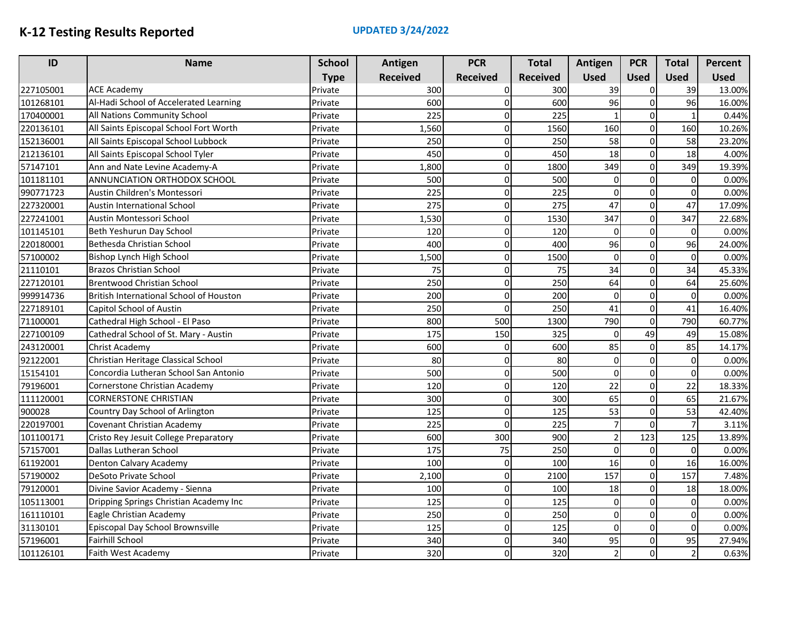| ID        | <b>Name</b>                             | <b>School</b> | Antigen         | <b>PCR</b>      | <b>Total</b>    | Antigen        | <b>PCR</b>  | <b>Total</b> | Percent     |
|-----------|-----------------------------------------|---------------|-----------------|-----------------|-----------------|----------------|-------------|--------------|-------------|
|           |                                         | <b>Type</b>   | <b>Received</b> | <b>Received</b> | <b>Received</b> | <b>Used</b>    | <b>Used</b> | <b>Used</b>  | <b>Used</b> |
| 227105001 | <b>ACE Academy</b>                      | Private       | 300             | O               | 300             | 39             | 0           | 39           | 13.00%      |
| 101268101 | Al-Hadi School of Accelerated Learning  | Private       | 600             | 0               | 600             | 96             | $\mathbf 0$ | 96           | 16.00%      |
| 170400001 | All Nations Community School            | Private       | 225             | $\Omega$        | 225             |                | $\mathbf 0$ | $\mathbf{1}$ | 0.44%       |
| 220136101 | All Saints Episcopal School Fort Worth  | Private       | 1,560           | 0               | 1560            | 160            | $\mathbf 0$ | 160          | 10.26%      |
| 152136001 | All Saints Episcopal School Lubbock     | Private       | 250             | $\Omega$        | 250             | 58             | $\mathbf 0$ | 58           | 23.20%      |
| 212136101 | All Saints Episcopal School Tyler       | Private       | 450             | 0               | 450             | 18             | $\mathbf 0$ | 18           | 4.00%       |
| 57147101  | Ann and Nate Levine Academy-A           | Private       | 1,800           | $\Omega$        | 1800            | 349            | $\mathbf 0$ | 349          | 19.39%      |
| 101181101 | ANNUNCIATION ORTHODOX SCHOOL            | Private       | 500             | 0               | 500             | 0              | $\mathbf 0$ | $\Omega$     | 0.00%       |
| 990771723 | Austin Children's Montessori            | Private       | 225             | 0               | 225             | $\Omega$       | $\Omega$    | $\Omega$     | 0.00%       |
| 227320001 | <b>Austin International School</b>      | Private       | 275             | $\Omega$        | 275             | 47             | $\mathbf 0$ | 47           | 17.09%      |
| 227241001 | Austin Montessori School                | Private       | 1,530           | $\mathbf 0$     | 1530            | 347            | $\pmb{0}$   | 347          | 22.68%      |
| 101145101 | Beth Yeshurun Day School                | Private       | 120             | $\Omega$        | 120             | $\Omega$       | $\mathbf 0$ | $\Omega$     | 0.00%       |
| 220180001 | Bethesda Christian School               | Private       | 400             | $\Omega$        | 400             | 96             | $\mathbf 0$ | 96           | 24.00%      |
| 57100002  | Bishop Lynch High School                | Private       | 1,500           | 0               | 1500            | $\mathbf 0$    | $\mathbf 0$ | $\Omega$     | 0.00%       |
| 21110101  | <b>Brazos Christian School</b>          | Private       | 75              | $\Omega$        | 75              | 34             | $\mathbf 0$ | 34           | 45.33%      |
| 227120101 | <b>Brentwood Christian School</b>       | Private       | 250             | 0               | 250             | 64             | $\mathbf 0$ | 64           | 25.60%      |
| 999914736 | British International School of Houston | Private       | 200             | $\Omega$        | 200             | $\Omega$       | $\mathbf 0$ | $\Omega$     | 0.00%       |
| 227189101 | Capitol School of Austin                | Private       | 250             | $\Omega$        | 250             | 41             | $\mathbf 0$ | 41           | 16.40%      |
| 71100001  | Cathedral High School - El Paso         | Private       | 800             | 500             | 1300            | 790            | $\mathbf 0$ | 790          | 60.77%      |
| 227100109 | Cathedral School of St. Mary - Austin   | Private       | 175             | 150             | 325             | $\Omega$       | 49          | 49           | 15.08%      |
| 243120001 | <b>Christ Academy</b>                   | Private       | 600             | $\Omega$        | 600             | 85             | $\mathbf 0$ | 85           | 14.17%      |
| 92122001  | Christian Heritage Classical School     | Private       | 80              | 0               | 80              | $\Omega$       | $\mathbf 0$ | $\Omega$     | 0.00%       |
| 15154101  | Concordia Lutheran School San Antonio   | Private       | 500             | 0               | 500             | $\Omega$       | $\mathbf 0$ | $\Omega$     | 0.00%       |
| 79196001  | Cornerstone Christian Academy           | Private       | 120             | $\Omega$        | 120             | 22             | $\mathbf 0$ | 22           | 18.33%      |
| 111120001 | <b>CORNERSTONE CHRISTIAN</b>            | Private       | 300             | $\Omega$        | 300             | 65             | $\mathbf 0$ | 65           | 21.67%      |
| 900028    | Country Day School of Arlington         | Private       | 125             | $\Omega$        | 125             | 53             | $\mathbf 0$ | 53           | 42.40%      |
| 220197001 | Covenant Christian Academy              | Private       | 225             | $\Omega$        | 225             | $\overline{7}$ | $\mathbf 0$ |              | 3.11%       |
| 101100171 | Cristo Rey Jesuit College Preparatory   | Private       | 600             | 300             | 900             | $\overline{2}$ | 123         | 125          | 13.89%      |
| 57157001  | Dallas Lutheran School                  | Private       | 175             | 75              | 250             | $\Omega$       | $\mathbf 0$ | $\Omega$     | 0.00%       |
| 61192001  | Denton Calvary Academy                  | Private       | 100             | $\Omega$        | 100             | 16             | $\mathbf 0$ | 16           | 16.00%      |
| 57190002  | DeSoto Private School                   | Private       | 2,100           | $\Omega$        | 2100            | 157            | $\mathbf 0$ | 157          | 7.48%       |
| 79120001  | Divine Savior Academy - Sienna          | Private       | 100             | 0               | 100             | 18             | $\mathbf 0$ | 18           | 18.00%      |
| 105113001 | Dripping Springs Christian Academy Inc  | Private       | 125             | $\Omega$        | 125             | 0              | $\mathbf 0$ | $\Omega$     | 0.00%       |
| 161110101 | Eagle Christian Academy                 | Private       | 250             | $\Omega$        | 250             | $\mathbf 0$    | $\mathbf 0$ | $\Omega$     | 0.00%       |
| 31130101  | Episcopal Day School Brownsville        | Private       | 125             | $\Omega$        | 125             | $\Omega$       | $\mathbf 0$ | $\Omega$     | 0.00%       |
| 57196001  | <b>Fairhill School</b>                  | Private       | 340             | $\Omega$        | 340             | 95             | $\mathbf 0$ | 95           | 27.94%      |
| 101126101 | Faith West Academy                      | Private       | 320             | $\Omega$        | 320             | $\overline{2}$ | $\Omega$    |              | 0.63%       |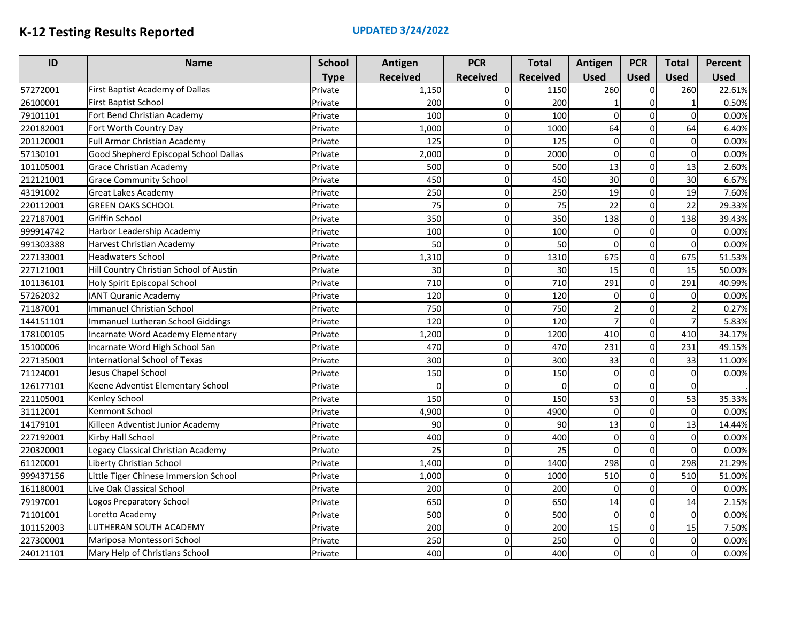| ID        | <b>Name</b>                             | <b>School</b> | Antigen         | <b>PCR</b>      | <b>Total</b>    | Antigen        | <b>PCR</b>  | <b>Total</b>   | Percent     |
|-----------|-----------------------------------------|---------------|-----------------|-----------------|-----------------|----------------|-------------|----------------|-------------|
|           |                                         | <b>Type</b>   | <b>Received</b> | <b>Received</b> | <b>Received</b> | <b>Used</b>    | <b>Used</b> | <b>Used</b>    | <b>Used</b> |
| 57272001  | First Baptist Academy of Dallas         | Private       | 1,150           | $\Omega$        | 1150            | 260            | 0           | 260            | 22.61%      |
| 26100001  | <b>First Baptist School</b>             | Private       | 200             | $\Omega$        | 200             |                | $\mathbf 0$ |                | 0.50%       |
| 79101101  | Fort Bend Christian Academy             | Private       | 100             | $\Omega$        | 100             | 0              | $\mathbf 0$ | $\Omega$       | 0.00%       |
| 220182001 | Fort Worth Country Day                  | Private       | 1,000           | 0               | 1000            | 64             | $\mathbf 0$ | 64             | 6.40%       |
| 201120001 | <b>Full Armor Christian Academy</b>     | Private       | 125             | $\Omega$        | 125             | $\mathbf 0$    | $\mathbf 0$ | $\Omega$       | 0.00%       |
| 57130101  | Good Shepherd Episcopal School Dallas   | Private       | 2,000           | 0               | 2000            | $\mathbf 0$    | $\mathbf 0$ | $\overline{0}$ | 0.00%       |
| 101105001 | <b>Grace Christian Academy</b>          | Private       | 500             | $\Omega$        | 500             | 13             | $\mathbf 0$ | 13             | 2.60%       |
| 212121001 | <b>Grace Community School</b>           | Private       | 450             | $\Omega$        | 450             | 30             | $\mathbf 0$ | 30             | 6.67%       |
| 43191002  | <b>Great Lakes Academy</b>              | Private       | 250             | $\Omega$        | 250             | 19             | $\mathbf 0$ | 19             | 7.60%       |
| 220112001 | <b>GREEN OAKS SCHOOL</b>                | Private       | 75              | $\Omega$        | 75              | 22             | $\mathbf 0$ | 22             | 29.33%      |
| 227187001 | Griffin School                          | Private       | 350             | 0               | 350             | 138            | $\mathbf 0$ | 138            | 39.43%      |
| 999914742 | Harbor Leadership Academy               | Private       | 100             | 0               | 100             | $\Omega$       | $\mathbf 0$ | $\Omega$       | 0.00%       |
| 991303388 | Harvest Christian Academy               | Private       | 50              | 0               | 50              | $\Omega$       | $\mathbf 0$ | 0              | 0.00%       |
| 227133001 | <b>Headwaters School</b>                | Private       | 1,310           | $\Omega$        | 1310            | 675            | $\pmb{0}$   | 675            | 51.53%      |
| 227121001 | Hill Country Christian School of Austin | Private       | 30              | $\Omega$        | 30              | 15             | $\mathbf 0$ | 15             | 50.00%      |
| 101136101 | Holy Spirit Episcopal School            | Private       | 710             | $\Omega$        | 710             | 291            | $\mathbf 0$ | 291            | 40.99%      |
| 57262032  | <b>IANT Quranic Academy</b>             | Private       | 120             | $\Omega$        | 120             | $\Omega$       | $\mathbf 0$ | $\Omega$       | 0.00%       |
| 71187001  | <b>Immanuel Christian School</b>        | Private       | 750             | $\Omega$        | 750             | $\overline{2}$ | $\mathbf 0$ |                | 0.27%       |
| 144151101 | Immanuel Lutheran School Giddings       | Private       | 120             | $\Omega$        | 120             | 7              | $\mathbf 0$ |                | 5.83%       |
| 178100105 | Incarnate Word Academy Elementary       | Private       | 1,200           | $\Omega$        | 1200            | 410            | $\mathbf 0$ | 410            | 34.17%      |
| 15100006  | Incarnate Word High School San          | Private       | 470             | 0               | 470             | 231            | $\mathbf 0$ | 231            | 49.15%      |
| 227135001 | International School of Texas           | Private       | 300             | 0               | 300             | 33             | $\mathbf 0$ | 33             | 11.00%      |
| 71124001  | Jesus Chapel School                     | Private       | 150             | $\Omega$        | 150             | $\Omega$       | $\mathbf 0$ | $\Omega$       | 0.00%       |
| 126177101 | Keene Adventist Elementary School       | Private       | $\Omega$        | $\Omega$        | $\Omega$        | $\Omega$       | $\mathbf 0$ | $\Omega$       |             |
| 221105001 | Kenley School                           | Private       | 150             | $\Omega$        | 150             | 53             | $\mathbf 0$ | 53             | 35.33%      |
| 31112001  | Kenmont School                          | Private       | 4,900           | $\Omega$        | 4900            | $\mathbf 0$    | $\mathbf 0$ | $\Omega$       | 0.00%       |
| 14179101  | Killeen Adventist Junior Academy        | Private       | 90              | $\Omega$        | 90              | 13             | $\mathbf 0$ | 13             | 14.44%      |
| 227192001 | Kirby Hall School                       | Private       | 400             | $\Omega$        | 400             | $\mathbf 0$    | $\Omega$    | $\Omega$       | 0.00%       |
| 220320001 | Legacy Classical Christian Academy      | Private       | 25              | $\Omega$        | 25              | $\mathbf 0$    | $\mathbf 0$ | $\Omega$       | 0.00%       |
| 61120001  | Liberty Christian School                | Private       | 1,400           | 0               | 1400            | 298            | $\mathbf 0$ | 298            | 21.29%      |
| 999437156 | Little Tiger Chinese Immersion School   | Private       | 1,000           | $\Omega$        | 1000            | 510            | $\mathbf 0$ | 510            | 51.00%      |
| 161180001 | Live Oak Classical School               | Private       | 200             | 0               | 200             | $\mathbf 0$    | $\mathbf 0$ | $\overline{0}$ | 0.00%       |
| 79197001  | Logos Preparatory School                | Private       | 650             | $\Omega$        | 650             | 14             | $\mathbf 0$ | 14             | 2.15%       |
| 71101001  | Loretto Academy                         | Private       | 500             | $\Omega$        | 500             | $\mathbf 0$    | $\mathbf 0$ | $\Omega$       | 0.00%       |
| 101152003 | LUTHERAN SOUTH ACADEMY                  | Private       | 200             | 0               | 200             | 15             | $\mathbf 0$ | 15             | 7.50%       |
| 227300001 | Mariposa Montessori School              | Private       | 250             | $\Omega$        | 250             | $\Omega$       | $\mathbf 0$ | $\Omega$       | 0.00%       |
| 240121101 | Mary Help of Christians School          | Private       | 400             | $\Omega$        | 400             | 0              | $\mathbf 0$ | $\Omega$       | 0.00%       |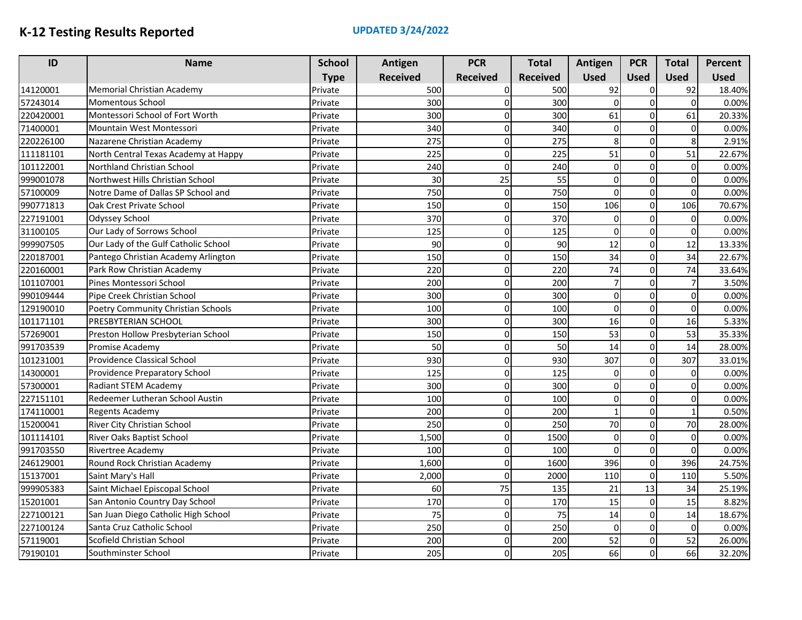| ID        | <b>Name</b>                          | <b>School</b> | Antigen         | <b>PCR</b>      | <b>Total</b>    | Antigen        | <b>PCR</b>   | <b>Total</b>   | Percent     |
|-----------|--------------------------------------|---------------|-----------------|-----------------|-----------------|----------------|--------------|----------------|-------------|
|           |                                      | <b>Type</b>   | <b>Received</b> | <b>Received</b> | <b>Received</b> | <b>Used</b>    | <b>Used</b>  | <b>Used</b>    | <b>Used</b> |
| 14120001  | <b>Memorial Christian Academy</b>    | Private       | 500             | $\Omega$        | 500             | 92             | 0            | 92             | 18.40%      |
| 57243014  | <b>Momentous School</b>              | Private       | 300             | $\Omega$        | 300             | $\Omega$       | $\mathbf 0$  | $\Omega$       | 0.00%       |
| 220420001 | Montessori School of Fort Worth      | Private       | 300             | $\Omega$        | 300             | 61             | $\mathbf 0$  | 61             | 20.33%      |
| 71400001  | Mountain West Montessori             | Private       | 340             | 0               | 340             | 0              | $\mathbf 0$  | $\Omega$       | 0.00%       |
| 220226100 | Nazarene Christian Academy           | Private       | 275             | $\Omega$        | 275             | 8              | $\mathbf 0$  | 8              | 2.91%       |
| 111181101 | North Central Texas Academy at Happy | Private       | 225             | 0               | 225             | 51             | $\mathbf 0$  | 51             | 22.67%      |
| 101122001 | Northland Christian School           | Private       | 240             | $\Omega$        | 240             | $\Omega$       | $\mathbf 0$  | $\Omega$       | 0.00%       |
| 999001078 | Northwest Hills Christian School     | Private       | 30              | 25              | 55              | 0              | $\mathbf 0$  | $\Omega$       | 0.00%       |
| 57100009  | Notre Dame of Dallas SP School and   | Private       | 750             | $\Omega$        | 750             | 0              | $\mathbf 0$  | $\Omega$       | 0.00%       |
| 990771813 | Oak Crest Private School             | Private       | 150             | $\Omega$        | 150             | 106            | $\mathbf 0$  | 106            | 70.67%      |
| 227191001 | Odyssey School                       | Private       | 370             | 0               | 370             | $\mathbf 0$    | $\mathbf 0$  | $\Omega$       | 0.00%       |
| 31100105  | Our Lady of Sorrows School           | Private       | 125             | 0               | 125             | $\Omega$       | $\mathbf 0$  | 0              | 0.00%       |
| 999907505 | Our Lady of the Gulf Catholic School | Private       | 90              | $\Omega$        | 90              | 12             | $\mathbf 0$  | 12             | 13.33%      |
| 220187001 | Pantego Christian Academy Arlington  | Private       | 150             | $\Omega$        | 150             | 34             | 0            | 34             | 22.67%      |
| 220160001 | Park Row Christian Academy           | Private       | 220             | $\Omega$        | 220             | 74             | $\mathbf 0$  | 74             | 33.64%      |
| 101107001 | Pines Montessori School              | Private       | 200             | $\Omega$        | 200             | $\overline{7}$ | $\mathbf 0$  | $\overline{7}$ | 3.50%       |
| 990109444 | Pipe Creek Christian School          | Private       | 300             | 0               | 300             | $\Omega$       | $\mathbf 0$  | $\Omega$       | 0.00%       |
| 129190010 | Poetry Community Christian Schools   | Private       | 100             | $\Omega$        | 100             | $\Omega$       | $\mathbf 0$  | $\Omega$       | 0.00%       |
| 101171101 | PRESBYTERIAN SCHOOL                  | Private       | 300             | $\Omega$        | 300             | 16             | $\mathbf{O}$ | 16             | 5.33%       |
| 57269001  | Preston Hollow Presbyterian School   | Private       | 150             | $\Omega$        | 150             | 53             | $\mathbf 0$  | 53             | 35.33%      |
| 991703539 | Promise Academy                      | Private       | 50              | 0               | 50              | 14             | $\mathbf 0$  | 14             | 28.00%      |
| 101231001 | Providence Classical School          | Private       | 930             | 0               | 930             | 307            | $\mathbf 0$  | 307            | 33.01%      |
| 14300001  | Providence Preparatory School        | Private       | 125             | $\Omega$        | 125             | 0              | $\mathbf 0$  | $\Omega$       | 0.00%       |
| 57300001  | Radiant STEM Academy                 | Private       | 300             | $\Omega$        | 300             | 0              | $\mathbf 0$  | ΩI             | 0.00%       |
| 227151101 | Redeemer Lutheran School Austin      | Private       | 100             | $\Omega$        | 100             | $\Omega$       | $\mathbf 0$  | $\Omega$       | 0.00%       |
| 174110001 | <b>Regents Academy</b>               | Private       | 200             | $\Omega$        | 200             | $\mathbf{1}$   | $\mathbf 0$  | 1              | 0.50%       |
| 15200041  | River City Christian School          | Private       | 250             | 0               | 250             | 70             | $\mathbf 0$  | 70             | 28.00%      |
| 101114101 | River Oaks Baptist School            | Private       | 1,500           | $\Omega$        | 1500            | 0              | 0            | $\Omega$       | 0.00%       |
| 991703550 | <b>Rivertree Academy</b>             | Private       | 100             | $\Omega$        | 100             | $\mathbf 0$    | $\mathbf 0$  | $\Omega$       | 0.00%       |
| 246129001 | Round Rock Christian Academy         | Private       | 1,600           | $\Omega$        | 1600            | 396            | $\mathbf 0$  | 396            | 24.75%      |
| 15137001  | Saint Mary's Hall                    | Private       | 2,000           | $\Omega$        | 2000            | 110            | $\mathbf 0$  | 110            | 5.50%       |
| 999905383 | Saint Michael Episcopal School       | Private       | 60              | 75              | 135             | 21             | 13           | 34             | 25.19%      |
| 15201001  | San Antonio Country Day School       | Private       | 170             | $\Omega$        | 170             | 15             | $\mathbf 0$  | 15             | 8.82%       |
| 227100121 | San Juan Diego Catholic High School  | Private       | 75              | 0               | 75              | 14             | $\mathbf 0$  | 14             | 18.67%      |
| 227100124 | Santa Cruz Catholic School           | Private       | 250             | 0               | 250             | $\Omega$       | $\mathbf 0$  | $\Omega$       | 0.00%       |
| 57119001  | Scofield Christian School            | Private       | 200             | $\Omega$        | 200             | 52             | $\mathbf 0$  | 52             | 26.00%      |
| 79190101  | Southminster School                  | Private       | 205             | $\Omega$        | 205             | 66             | $\Omega$     | 66             | 32.20%      |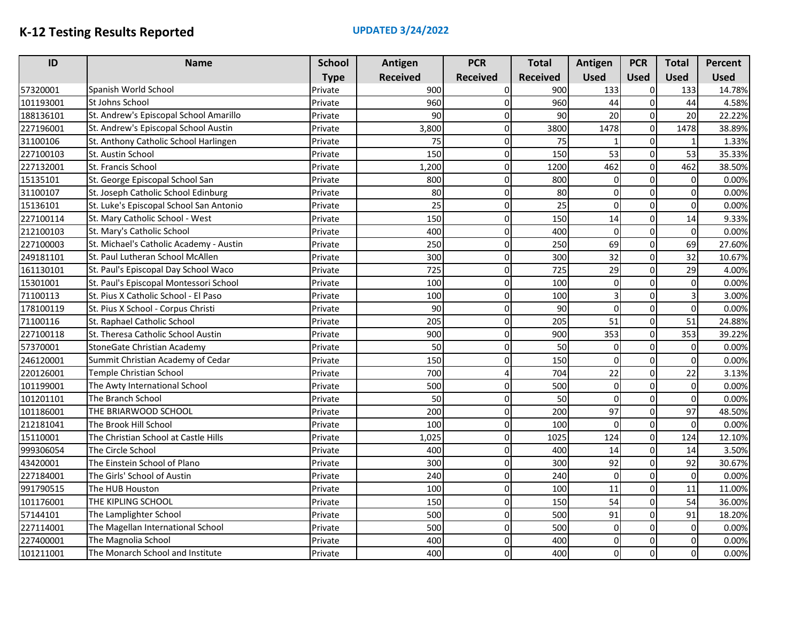| ID        | <b>Name</b>                             | <b>School</b> | Antigen         | <b>PCR</b>      | <b>Total</b>    | Antigen     | <b>PCR</b>  | <b>Total</b>   | Percent     |
|-----------|-----------------------------------------|---------------|-----------------|-----------------|-----------------|-------------|-------------|----------------|-------------|
|           |                                         | <b>Type</b>   | <b>Received</b> | <b>Received</b> | <b>Received</b> | <b>Used</b> | <b>Used</b> | <b>Used</b>    | <b>Used</b> |
| 57320001  | Spanish World School                    | Private       | 900             | $\Omega$        | 900             | 133         | 0           | 133            | 14.78%      |
| 101193001 | St Johns School                         | Private       | 960             | $\Omega$        | 960             | 44          | $\mathbf 0$ | 44             | 4.58%       |
| 188136101 | St. Andrew's Episcopal School Amarillo  | Private       | 90              | $\Omega$        | 90              | 20          | $\mathbf 0$ | 20             | 22.22%      |
| 227196001 | St. Andrew's Episcopal School Austin    | Private       | 3,800           | 0               | 3800            | 1478        | $\mathbf 0$ | 1478           | 38.89%      |
| 31100106  | St. Anthony Catholic School Harlingen   | Private       | 75              | 0               | 75              |             | $\mathbf 0$ | 1              | 1.33%       |
| 227100103 | St. Austin School                       | Private       | 150             | 0               | 150             | 53          | $\mathbf 0$ | 53             | 35.33%      |
| 227132001 | St. Francis School                      | Private       | 1,200           | 0               | 1200            | 462         | $\mathbf 0$ | 462            | 38.50%      |
| 15135101  | St. George Episcopal School San         | Private       | 800             | $\Omega$        | 800             | $\Omega$    | $\mathbf 0$ | $\Omega$       | 0.00%       |
| 31100107  | St. Joseph Catholic School Edinburg     | Private       | 80              | $\Omega$        | 80              | 0           | $\mathbf 0$ | 0              | 0.00%       |
| 15136101  | St. Luke's Episcopal School San Antonio | Private       | 25              | 0               | 25              | $\mathbf 0$ | 0           | $\Omega$       | 0.00%       |
| 227100114 | St. Mary Catholic School - West         | Private       | 150             | $\Omega$        | 150             | 14          | $\mathbf 0$ | 14             | 9.33%       |
| 212100103 | St. Mary's Catholic School              | Private       | 400             | $\Omega$        | 400             | $\mathbf 0$ | 0           | $\Omega$       | 0.00%       |
| 227100003 | St. Michael's Catholic Academy - Austin | Private       | 250             | $\Omega$        | 250             | 69          | $\mathbf 0$ | 69             | 27.60%      |
| 249181101 | St. Paul Lutheran School McAllen        | Private       | 300             | 0               | 300             | 32          | 0           | 32             | 10.67%      |
| 161130101 | St. Paul's Episcopal Day School Waco    | Private       | 725             | O               | 725             | 29          | $\mathbf 0$ | 29             | 4.00%       |
| 15301001  | St. Paul's Episcopal Montessori School  | Private       | 100             | 0               | 100             | $\Omega$    | $\mathbf 0$ | $\Omega$       | 0.00%       |
| 71100113  | St. Pius X Catholic School - El Paso    | Private       | 100             | $\Omega$        | 100             | 3           | 0           | 3              | 3.00%       |
| 178100119 | St. Pius X School - Corpus Christi      | Private       | 90              | $\Omega$        | 90              | $\Omega$    | $\mathbf 0$ | $\Omega$       | 0.00%       |
| 71100116  | St. Raphael Catholic School             | Private       | 205             | 0               | 205             | 51          | 0           | 51             | 24.88%      |
| 227100118 | St. Theresa Catholic School Austin      | Private       | 900             | $\Omega$        | 900             | 353         | $\mathbf 0$ | 353            | 39.22%      |
| 57370001  | StoneGate Christian Academy             | Private       | 50              | $\Omega$        | 50              | $\Omega$    | $\mathbf 0$ | $\Omega$       | 0.00%       |
| 246120001 | Summit Christian Academy of Cedar       | Private       | 150             | $\Omega$        | 150             | $\Omega$    | $\mathbf 0$ | $\Omega$       | 0.00%       |
| 220126001 | Temple Christian School                 | Private       | 700             |                 | 704             | 22          | $\mathbf 0$ | 22             | 3.13%       |
| 101199001 | The Awty International School           | Private       | 500             | 0               | 500             | $\Omega$    | $\Omega$    | $\Omega$       | 0.00%       |
| 101201101 | The Branch School                       | Private       | 50              | $\Omega$        | 50              | $\Omega$    | $\mathbf 0$ | $\Omega$       | 0.00%       |
| 101186001 | THE BRIARWOOD SCHOOL                    | Private       | 200             | 0               | 200             | 97          | $\mathbf 0$ | 97             | 48.50%      |
| 212181041 | The Brook Hill School                   | Private       | 100             | $\Omega$        | 100             | $\Omega$    | $\mathbf 0$ | $\Omega$       | 0.00%       |
| 15110001  | The Christian School at Castle Hills    | Private       | 1,025           | 0               | 1025            | 124         | $\mathbf 0$ | 124            | 12.10%      |
| 999306054 | The Circle School                       | Private       | 400             | 0               | 400             | 14          | $\mathbf 0$ | 14             | 3.50%       |
| 43420001  | The Einstein School of Plano            | Private       | 300             | $\Omega$        | 300             | 92          | $\Omega$    | 92             | 30.67%      |
| 227184001 | The Girls' School of Austin             | Private       | 240             | $\Omega$        | 240             | $\Omega$    | $\mathbf 0$ | $\Omega$       | 0.00%       |
| 991790515 | The HUB Houston                         | Private       | 100             | $\Omega$        | 100             | 11          | $\mathbf 0$ | 11             | 11.00%      |
| 101176001 | THE KIPLING SCHOOL                      | Private       | 150             | 0               | 150             | 54          | $\mathbf 0$ | 54             | 36.00%      |
| 57144101  | The Lamplighter School                  | Private       | 500             | $\Omega$        | 500             | 91          | $\mathbf 0$ | 91             | 18.20%      |
| 227114001 | The Magellan International School       | Private       | 500             | 0               | 500             | $\mathbf 0$ | $\mathbf 0$ | $\overline{0}$ | 0.00%       |
| 227400001 | The Magnolia School                     | Private       | 400             | $\Omega$        | 400             | $\Omega$    | $\mathbf 0$ | $\Omega$       | 0.00%       |
| 101211001 | The Monarch School and Institute        | Private       | 400             | $\Omega$        | 400             | 0l          | $\mathbf 0$ | ΩI             | 0.00%       |